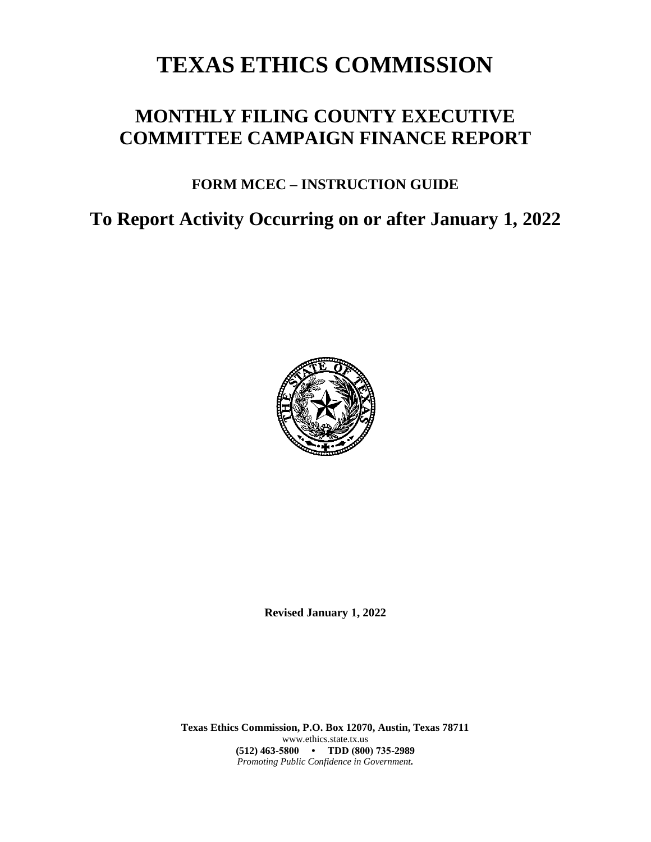# **TEXAS ETHICS COMMISSION**

# **MONTHLY FILING COUNTY EXECUTIVE COMMITTEE CAMPAIGN FINANCE REPORT**

# **FORM MCEC – INSTRUCTION GUIDE**

**To Report Activity Occurring on or after January 1, 2022**



**Revised January 1, 2022**

**Texas Ethics Commission, P.O. Box 12070, Austin, Texas 78711** www.ethics.state.tx.us **(512) 463-5800 • TDD (800) 735-2989** *Promoting Public Confidence in Government.*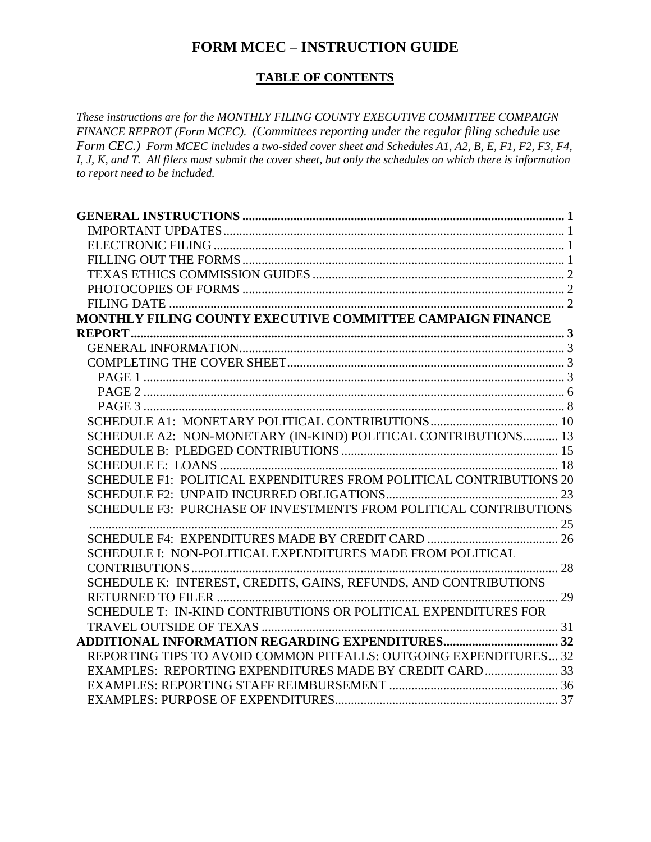### **FORM MCEC – INSTRUCTION GUIDE**

### **TABLE OF CONTENTS**

*These instructions are for the MONTHLY FILING COUNTY EXECUTIVE COMMITTEE COMPAIGN FINANCE REPROT (Form MCEC). (Committees reporting under the regular filing schedule use Form CEC.) Form MCEC includes a two-sided cover sheet and Schedules A1, A2, B, E, F1, F2, F3, F4, I, J, K, and T. All filers must submit the cover sheet, but only the schedules on which there is information to report need to be included.*

| MONTHLY FILING COUNTY EXECUTIVE COMMITTEE CAMPAIGN FINANCE          |  |
|---------------------------------------------------------------------|--|
|                                                                     |  |
|                                                                     |  |
|                                                                     |  |
|                                                                     |  |
|                                                                     |  |
|                                                                     |  |
|                                                                     |  |
| SCHEDULE A2: NON-MONETARY (IN-KIND) POLITICAL CONTRIBUTIONS 13      |  |
|                                                                     |  |
|                                                                     |  |
| SCHEDULE F1: POLITICAL EXPENDITURES FROM POLITICAL CONTRIBUTIONS 20 |  |
|                                                                     |  |
| SCHEDULE F3: PURCHASE OF INVESTMENTS FROM POLITICAL CONTRIBUTIONS   |  |
|                                                                     |  |
|                                                                     |  |
| SCHEDULE I: NON-POLITICAL EXPENDITURES MADE FROM POLITICAL          |  |
|                                                                     |  |
| SCHEDULE K: INTEREST, CREDITS, GAINS, REFUNDS, AND CONTRIBUTIONS    |  |
|                                                                     |  |
| SCHEDULE T: IN-KIND CONTRIBUTIONS OR POLITICAL EXPENDITURES FOR     |  |
|                                                                     |  |
|                                                                     |  |
| REPORTING TIPS TO AVOID COMMON PITFALLS: OUTGOING EXPENDITURES 32   |  |
| EXAMPLES: REPORTING EXPENDITURES MADE BY CREDIT CARD 33             |  |
|                                                                     |  |
|                                                                     |  |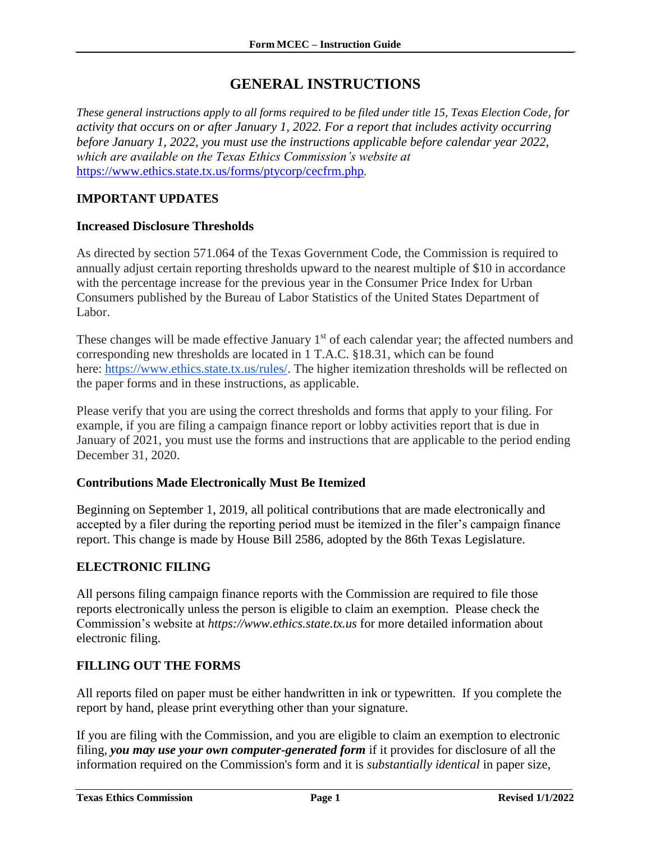### **GENERAL INSTRUCTIONS**

<span id="page-2-0"></span>*These general instructions apply to all forms required to be filed under title 15, Texas Election Code, for activity that occurs on or after January 1, 2022. For a report that includes activity occurring before January 1, 2022, you must use the instructions applicable before calendar year 2022, which are available on the Texas Ethics Commission's website at*  <https://www.ethics.state.tx.us/forms/ptycorp/cecfrm.php>*.*

### <span id="page-2-1"></span>**IMPORTANT UPDATES**

#### **Increased Disclosure Thresholds**

As directed by section 571.064 of the Texas Government Code, the Commission is required to annually adjust certain reporting thresholds upward to the nearest multiple of \$10 in accordance with the percentage increase for the previous year in the Consumer Price Index for Urban Consumers published by the Bureau of Labor Statistics of the United States Department of Labor.

These changes will be made effective January 1<sup>st</sup> of each calendar year; the affected numbers and corresponding new thresholds are located in 1 T.A.C. §18.31, which can be found here: [https://www.ethics.state.tx.us/rules/.](https://www.ethics.state.tx.us/rules/) The higher itemization thresholds will be reflected on the paper forms and in these instructions, as applicable.

Please verify that you are using the correct thresholds and forms that apply to your filing. For example, if you are filing a campaign finance report or lobby activities report that is due in January of 2021, you must use the forms and instructions that are applicable to the period ending December 31, 2020.

#### **Contributions Made Electronically Must Be Itemized**

Beginning on September 1, 2019, all political contributions that are made electronically and accepted by a filer during the reporting period must be itemized in the filer's campaign finance report. This change is made by House Bill 2586, adopted by the 86th Texas Legislature.

#### <span id="page-2-2"></span>**ELECTRONIC FILING**

All persons filing campaign finance reports with the Commission are required to file those reports electronically unless the person is eligible to claim an exemption. Please check the Commission's website at *https://www.ethics.state.tx.us* for more detailed information about electronic filing.

#### <span id="page-2-3"></span>**FILLING OUT THE FORMS**

All reports filed on paper must be either handwritten in ink or typewritten. If you complete the report by hand, please print everything other than your signature.

If you are filing with the Commission, and you are eligible to claim an exemption to electronic filing, *you may use your own computer-generated form* if it provides for disclosure of all the information required on the Commission's form and it is *substantially identical* in paper size,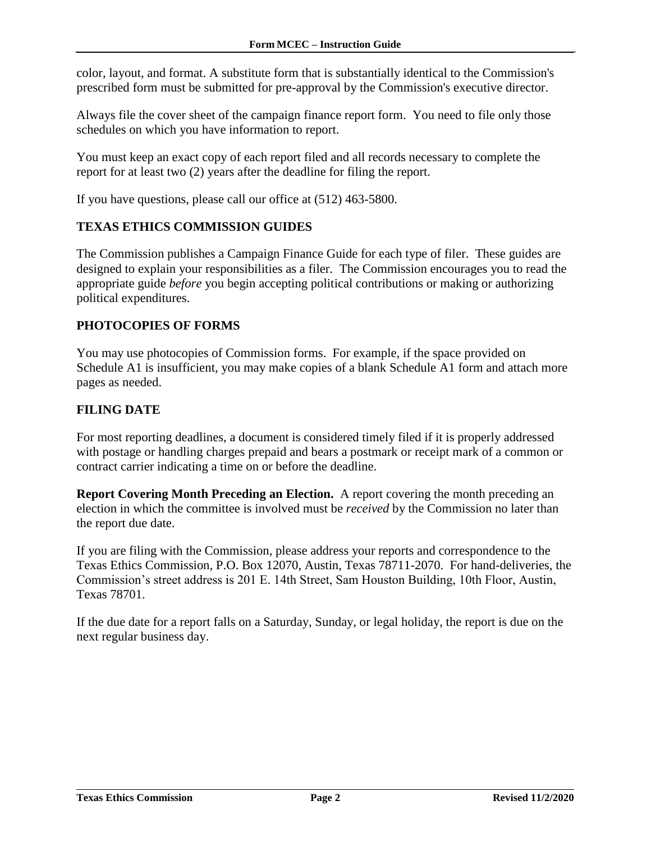color, layout, and format. A substitute form that is substantially identical to the Commission's prescribed form must be submitted for pre-approval by the Commission's executive director.

Always file the cover sheet of the campaign finance report form. You need to file only those schedules on which you have information to report.

You must keep an exact copy of each report filed and all records necessary to complete the report for at least two (2) years after the deadline for filing the report.

If you have questions, please call our office at (512) 463-5800.

#### <span id="page-3-0"></span>**TEXAS ETHICS COMMISSION GUIDES**

The Commission publishes a Campaign Finance Guide for each type of filer. These guides are designed to explain your responsibilities as a filer. The Commission encourages you to read the appropriate guide *before* you begin accepting political contributions or making or authorizing political expenditures.

#### <span id="page-3-1"></span>**PHOTOCOPIES OF FORMS**

You may use photocopies of Commission forms. For example, if the space provided on Schedule A1 is insufficient, you may make copies of a blank Schedule A1 form and attach more pages as needed.

#### <span id="page-3-2"></span>**FILING DATE**

For most reporting deadlines, a document is considered timely filed if it is properly addressed with postage or handling charges prepaid and bears a postmark or receipt mark of a common or contract carrier indicating a time on or before the deadline.

**Report Covering Month Preceding an Election.** A report covering the month preceding an election in which the committee is involved must be *received* by the Commission no later than the report due date.

If you are filing with the Commission, please address your reports and correspondence to the Texas Ethics Commission, P.O. Box 12070, Austin, Texas 78711-2070. For hand-deliveries, the Commission's street address is 201 E. 14th Street, Sam Houston Building, 10th Floor, Austin, Texas 78701.

If the due date for a report falls on a Saturday, Sunday, or legal holiday, the report is due on the next regular business day.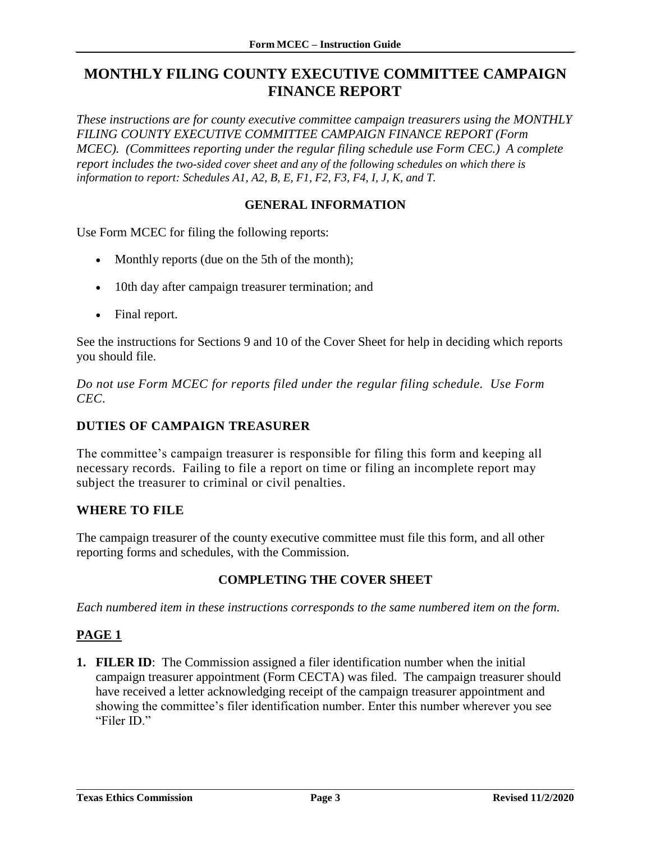## <span id="page-4-0"></span>**MONTHLY FILING COUNTY EXECUTIVE COMMITTEE CAMPAIGN FINANCE REPORT**

*These instructions are for county executive committee campaign treasurers using the MONTHLY FILING COUNTY EXECUTIVE COMMITTEE CAMPAIGN FINANCE REPORT (Form MCEC*). (Committees reporting under the regular filing schedule use Form CEC.) A complete *report includes the two-sided cover sheet and any of the following schedules on which there is information to report: Schedules A1, A2, B, E, F1, F2, F3, F4, I, J, K, and T.*

### **GENERAL INFORMATION**

<span id="page-4-1"></span>Use Form MCEC for filing the following reports:

- Monthly reports (due on the 5th of the month);
- 10th day after campaign treasurer termination; and
- Final report.

See the instructions for Sections 9 and 10 of the Cover Sheet for help in deciding which reports you should file.

*Do not use Form MCEC for reports filed under the regular filing schedule. Use Form CEC.*

#### **DUTIES OF CAMPAIGN TREASURER**

The committee's campaign treasurer is responsible for filing this form and keeping all necessary records. Failing to file a report on time or filing an incomplete report may subject the treasurer to criminal or civil penalties.

#### **WHERE TO FILE**

The campaign treasurer of the county executive committee must file this form, and all other reporting forms and schedules, with the Commission.

#### **COMPLETING THE COVER SHEET**

<span id="page-4-2"></span>*Each numbered item in these instructions corresponds to the same numbered item on the form.*

#### <span id="page-4-3"></span>**PAGE 1**

**1. FILER ID**: The Commission assigned a filer identification number when the initial campaign treasurer appointment (Form CECTA) was filed. The campaign treasurer should have received a letter acknowledging receipt of the campaign treasurer appointment and showing the committee's filer identification number. Enter this number wherever you see "Filer ID."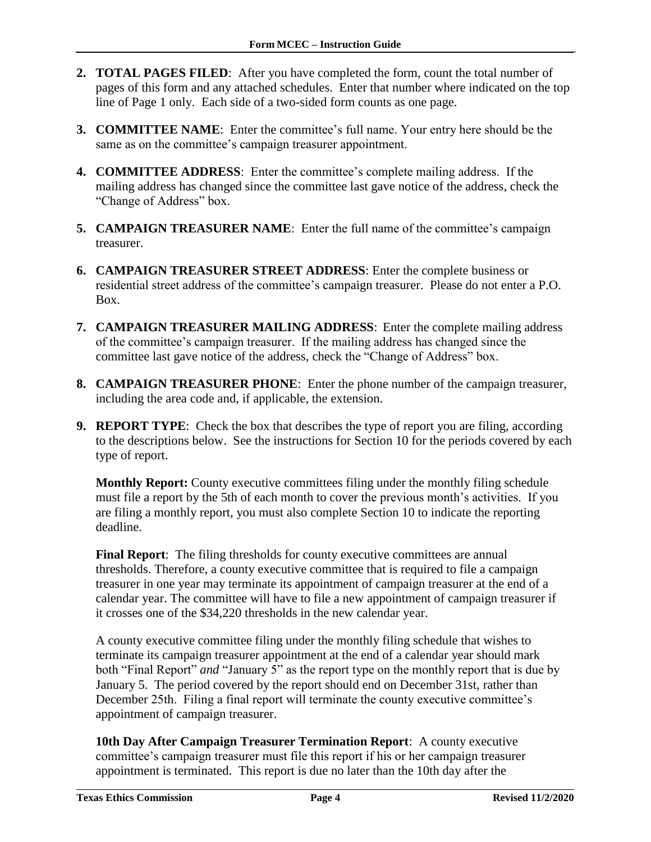- **2. TOTAL PAGES FILED**: After you have completed the form, count the total number of pages of this form and any attached schedules. Enter that number where indicated on the top line of Page 1 only. Each side of a two-sided form counts as one page.
- **3. COMMITTEE NAME**: Enter the committee's full name. Your entry here should be the same as on the committee's campaign treasurer appointment.
- **4. COMMITTEE ADDRESS**: Enter the committee's complete mailing address. If the mailing address has changed since the committee last gave notice of the address, check the "Change of Address" box.
- **5. CAMPAIGN TREASURER NAME**: Enter the full name of the committee's campaign treasurer.
- **6. CAMPAIGN TREASURER STREET ADDRESS**: Enter the complete business or residential street address of the committee's campaign treasurer. Please do not enter a P.O. Box.
- **7. CAMPAIGN TREASURER MAILING ADDRESS**: Enter the complete mailing address of the committee's campaign treasurer. If the mailing address has changed since the committee last gave notice of the address, check the "Change of Address" box.
- **8. CAMPAIGN TREASURER PHONE**: Enter the phone number of the campaign treasurer, including the area code and, if applicable, the extension.
- **9. REPORT TYPE**: Check the box that describes the type of report you are filing, according to the descriptions below. See the instructions for Section 10 for the periods covered by each type of report.

**Monthly Report:** County executive committees filing under the monthly filing schedule must file a report by the 5th of each month to cover the previous month's activities. If you are filing a monthly report, you must also complete Section 10 to indicate the reporting deadline.

**Final Report:** The filing thresholds for county executive committees are annual thresholds. Therefore, a county executive committee that is required to file a campaign treasurer in one year may terminate its appointment of campaign treasurer at the end of a calendar year. The committee will have to file a new appointment of campaign treasurer if it crosses one of the \$34,220 thresholds in the new calendar year.

A county executive committee filing under the monthly filing schedule that wishes to terminate its campaign treasurer appointment at the end of a calendar year should mark both "Final Report" *and* "January 5" as the report type on the monthly report that is due by January 5. The period covered by the report should end on December 31st, rather than December 25th. Filing a final report will terminate the county executive committee's appointment of campaign treasurer.

**10th Day After Campaign Treasurer Termination Report**: A county executive committee's campaign treasurer must file this report if his or her campaign treasurer appointment is terminated. This report is due no later than the 10th day after the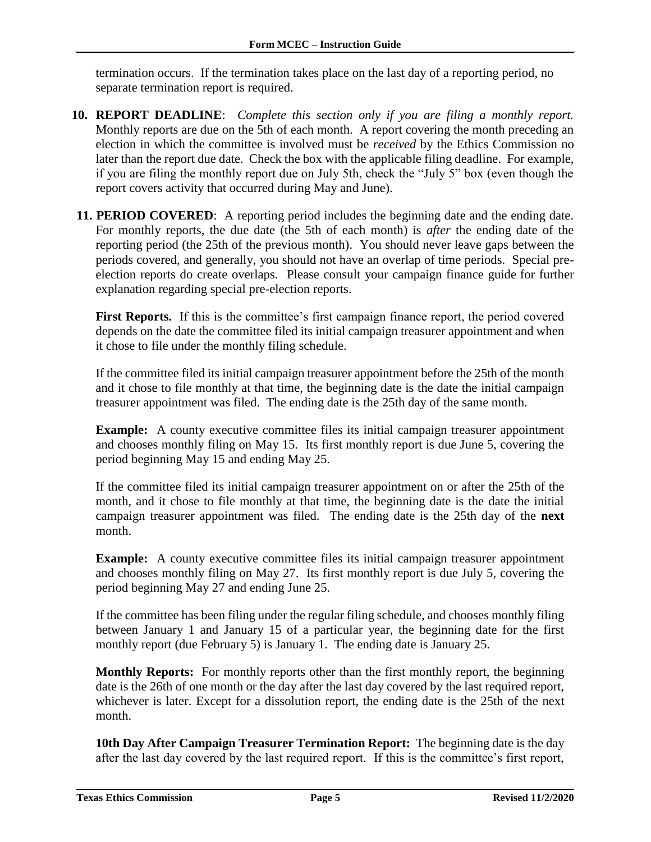termination occurs. If the termination takes place on the last day of a reporting period, no separate termination report is required.

- **10. REPORT DEADLINE**: *Complete this section only if you are filing a monthly report.* Monthly reports are due on the 5th of each month. A report covering the month preceding an election in which the committee is involved must be *received* by the Ethics Commission no later than the report due date. Check the box with the applicable filing deadline. For example, if you are filing the monthly report due on July 5th, check the "July 5" box (even though the report covers activity that occurred during May and June).
- **11. PERIOD COVERED:** A reporting period includes the beginning date and the ending date. For monthly reports, the due date (the 5th of each month) is *after* the ending date of the reporting period (the 25th of the previous month). You should never leave gaps between the periods covered, and generally, you should not have an overlap of time periods. Special preelection reports do create overlaps. Please consult your campaign finance guide for further explanation regarding special pre-election reports.

First Reports. If this is the committee's first campaign finance report, the period covered depends on the date the committee filed its initial campaign treasurer appointment and when it chose to file under the monthly filing schedule.

If the committee filed its initial campaign treasurer appointment before the 25th of the month and it chose to file monthly at that time, the beginning date is the date the initial campaign treasurer appointment was filed. The ending date is the 25th day of the same month.

**Example:** A county executive committee files its initial campaign treasurer appointment and chooses monthly filing on May 15. Its first monthly report is due June 5, covering the period beginning May 15 and ending May 25.

If the committee filed its initial campaign treasurer appointment on or after the 25th of the month, and it chose to file monthly at that time, the beginning date is the date the initial campaign treasurer appointment was filed. The ending date is the 25th day of the **next** month.

**Example:** A county executive committee files its initial campaign treasurer appointment and chooses monthly filing on May 27. Its first monthly report is due July 5, covering the period beginning May 27 and ending June 25.

If the committee has been filing under the regular filing schedule, and chooses monthly filing between January 1 and January 15 of a particular year, the beginning date for the first monthly report (due February 5) is January 1. The ending date is January 25.

**Monthly Reports:** For monthly reports other than the first monthly report, the beginning date is the 26th of one month or the day after the last day covered by the last required report, whichever is later. Except for a dissolution report, the ending date is the 25th of the next month.

**10th Day After Campaign Treasurer Termination Report:** The beginning date is the day after the last day covered by the last required report. If this is the committee's first report,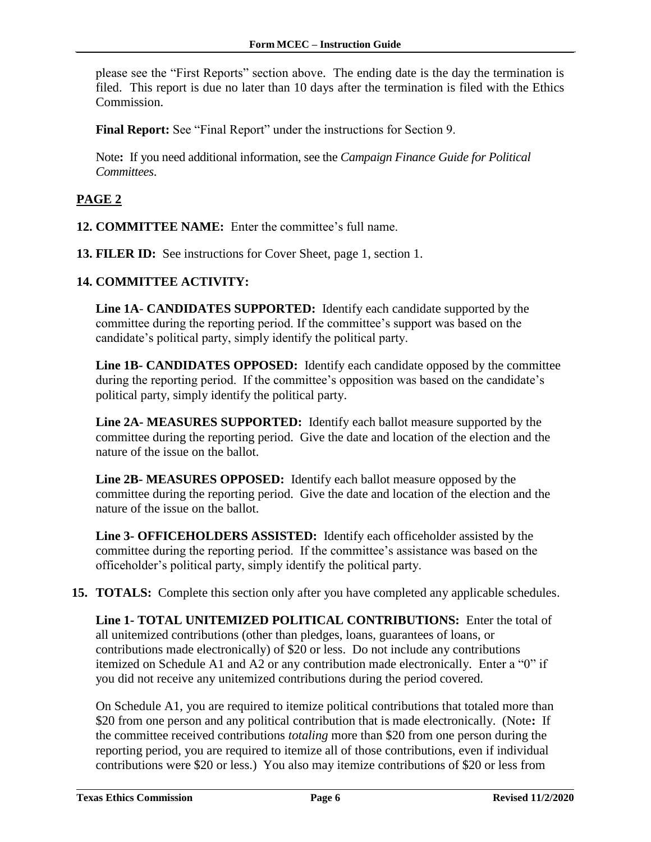please see the "First Reports" section above. The ending date is the day the termination is filed. This report is due no later than 10 days after the termination is filed with the Ethics Commission.

**Final Report:** See "Final Report" under the instructions for Section 9.

Note**:** If you need additional information, see the *Campaign Finance Guide for Political Committees*.

### <span id="page-7-0"></span>**PAGE 2**

- **12. COMMITTEE NAME:** Enter the committee's full name.
- **13. FILER ID:** See instructions for Cover Sheet, page 1, section 1.

#### **14. COMMITTEE ACTIVITY:**

**Line 1A**- **CANDIDATES SUPPORTED:** Identify each candidate supported by the committee during the reporting period. If the committee's support was based on the candidate's political party, simply identify the political party.

**Line 1B- CANDIDATES OPPOSED:** Identify each candidate opposed by the committee during the reporting period. If the committee's opposition was based on the candidate's political party, simply identify the political party.

**Line 2A- MEASURES SUPPORTED:** Identify each ballot measure supported by the committee during the reporting period. Give the date and location of the election and the nature of the issue on the ballot.

**Line 2B- MEASURES OPPOSED:** Identify each ballot measure opposed by the committee during the reporting period. Give the date and location of the election and the nature of the issue on the ballot.

**Line 3- OFFICEHOLDERS ASSISTED:** Identify each officeholder assisted by the committee during the reporting period. If the committee's assistance was based on the officeholder's political party, simply identify the political party.

**15. TOTALS:** Complete this section only after you have completed any applicable schedules.

**Line 1- TOTAL UNITEMIZED POLITICAL CONTRIBUTIONS:** Enter the total of all unitemized contributions (other than pledges, loans, guarantees of loans, or contributions made electronically) of \$20 or less. Do not include any contributions itemized on Schedule A1 and A2 or any contribution made electronically. Enter a "0" if you did not receive any unitemized contributions during the period covered.

On Schedule A1, you are required to itemize political contributions that totaled more than \$20 from one person and any political contribution that is made electronically. (Note**:** If the committee received contributions *totaling* more than \$20 from one person during the reporting period, you are required to itemize all of those contributions, even if individual contributions were \$20 or less.) You also may itemize contributions of \$20 or less from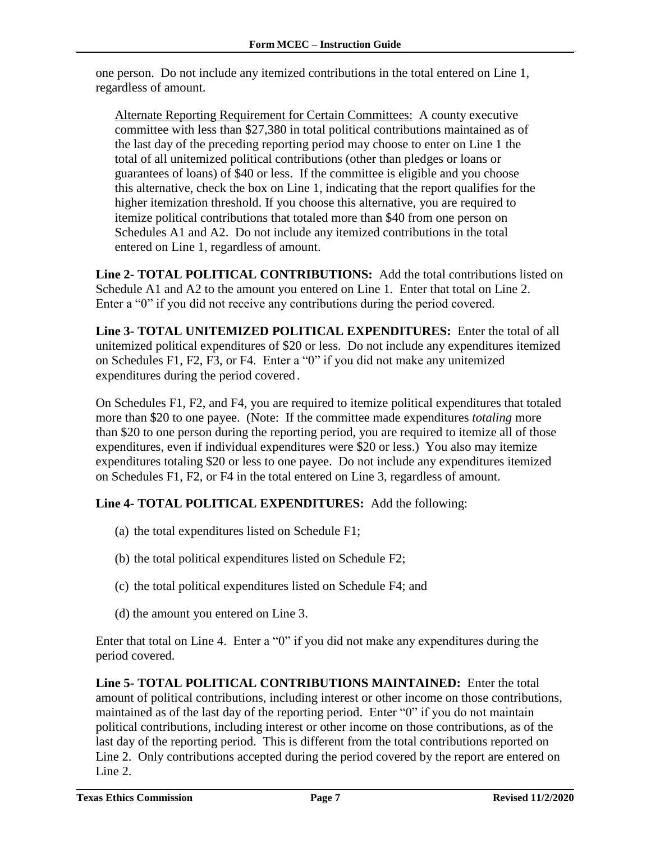one person. Do not include any itemized contributions in the total entered on Line 1, regardless of amount.

Alternate Reporting Requirement for Certain Committees: A county executive committee with less than \$27,380 in total political contributions maintained as of the last day of the preceding reporting period may choose to enter on Line 1 the total of all unitemized political contributions (other than pledges or loans or guarantees of loans) of \$40 or less. If the committee is eligible and you choose this alternative, check the box on Line 1, indicating that the report qualifies for the higher itemization threshold. If you choose this alternative, you are required to itemize political contributions that totaled more than \$40 from one person on Schedules A1 and A2. Do not include any itemized contributions in the total entered on Line 1, regardless of amount.

**Line 2- TOTAL POLITICAL CONTRIBUTIONS:** Add the total contributions listed on Schedule A1 and A2 to the amount you entered on Line 1. Enter that total on Line 2. Enter a "0" if you did not receive any contributions during the period covered.

**Line 3- TOTAL UNITEMIZED POLITICAL EXPENDITURES:** Enter the total of all unitemized political expenditures of \$20 or less. Do not include any expenditures itemized on Schedules F1, F2, F3, or F4. Enter a "0" if you did not make any unitemized expenditures during the period covered*.*

On Schedules F1, F2, and F4, you are required to itemize political expenditures that totaled more than \$20 to one payee. (Note: If the committee made expenditures *totaling* more than \$20 to one person during the reporting period, you are required to itemize all of those expenditures, even if individual expenditures were \$20 or less.) You also may itemize expenditures totaling \$20 or less to one payee. Do not include any expenditures itemized on Schedules F1, F2, or F4 in the total entered on Line 3, regardless of amount.

### **Line 4- TOTAL POLITICAL EXPENDITURES:** Add the following:

- (a) the total expenditures listed on Schedule F1;
- (b) the total political expenditures listed on Schedule F2;
- (c) the total political expenditures listed on Schedule F4; and
- (d) the amount you entered on Line 3.

Enter that total on Line 4. Enter a "0" if you did not make any expenditures during the period covered.

**Line 5- TOTAL POLITICAL CONTRIBUTIONS MAINTAINED:** Enter the total amount of political contributions, including interest or other income on those contributions, maintained as of the last day of the reporting period. Enter "0" if you do not maintain political contributions, including interest or other income on those contributions, as of the last day of the reporting period. This is different from the total contributions reported on Line 2. Only contributions accepted during the period covered by the report are entered on Line 2.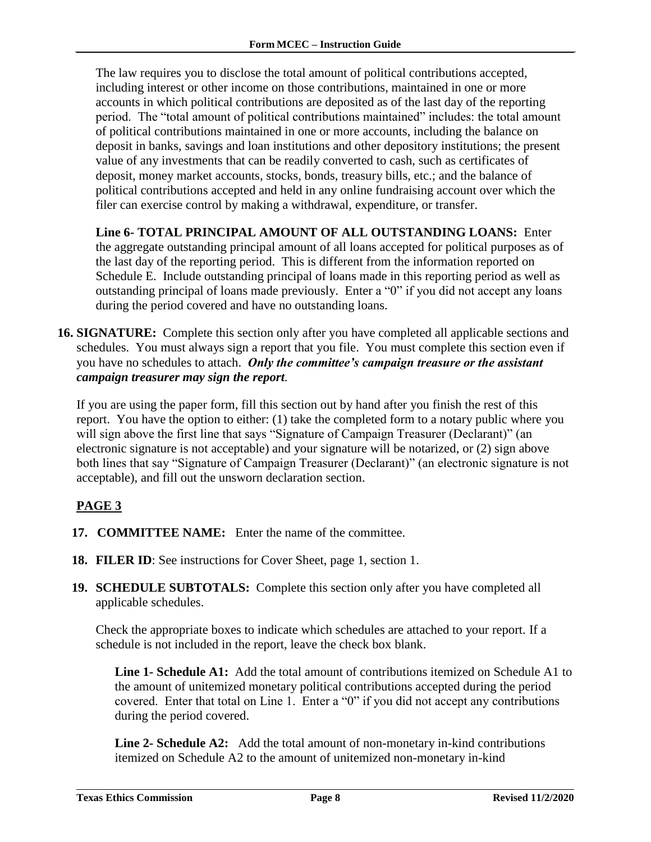The law requires you to disclose the total amount of political contributions accepted, including interest or other income on those contributions, maintained in one or more accounts in which political contributions are deposited as of the last day of the reporting period. The "total amount of political contributions maintained" includes: the total amount of political contributions maintained in one or more accounts, including the balance on deposit in banks, savings and loan institutions and other depository institutions; the present value of any investments that can be readily converted to cash, such as certificates of deposit, money market accounts, stocks, bonds, treasury bills, etc.; and the balance of political contributions accepted and held in any online fundraising account over which the filer can exercise control by making a withdrawal, expenditure, or transfer.

**Line 6- TOTAL PRINCIPAL AMOUNT OF ALL OUTSTANDING LOANS:** Enter the aggregate outstanding principal amount of all loans accepted for political purposes as of the last day of the reporting period. This is different from the information reported on Schedule E. Include outstanding principal of loans made in this reporting period as well as outstanding principal of loans made previously. Enter a "0" if you did not accept any loans during the period covered and have no outstanding loans.

**16. SIGNATURE:** Complete this section only after you have completed all applicable sections and schedules. You must always sign a report that you file. You must complete this section even if you have no schedules to attach. *Only the committee's campaign treasure or the assistant campaign treasurer may sign the report.*

If you are using the paper form, fill this section out by hand after you finish the rest of this report. You have the option to either: (1) take the completed form to a notary public where you will sign above the first line that says "Signature of Campaign Treasurer (Declarant)" (an electronic signature is not acceptable) and your signature will be notarized, or (2) sign above both lines that say "Signature of Campaign Treasurer (Declarant)" (an electronic signature is not acceptable), and fill out the unsworn declaration section.

### <span id="page-9-0"></span>**PAGE 3**

- **17. COMMITTEE NAME:** Enter the name of the committee.
- **18. FILER ID**: See instructions for Cover Sheet, page 1, section 1.
- **19. SCHEDULE SUBTOTALS:** Complete this section only after you have completed all applicable schedules.

Check the appropriate boxes to indicate which schedules are attached to your report. If a schedule is not included in the report, leave the check box blank.

**Line 1- Schedule A1:** Add the total amount of contributions itemized on Schedule A1 to the amount of unitemized monetary political contributions accepted during the period covered. Enter that total on Line 1. Enter a "0" if you did not accept any contributions during the period covered.

**Line 2- Schedule A2:** Add the total amount of non-monetary in-kind contributions itemized on Schedule A2 to the amount of unitemized non-monetary in-kind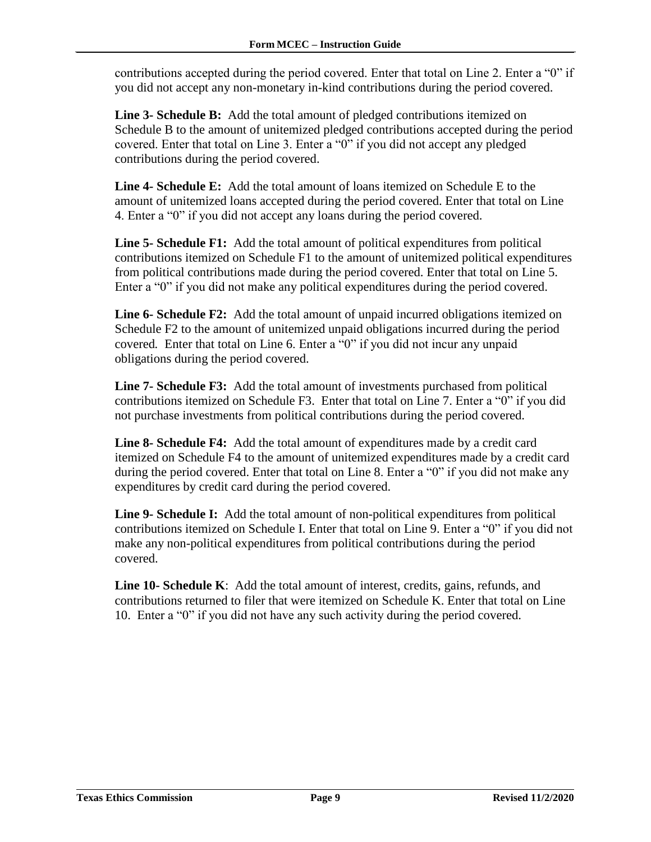contributions accepted during the period covered. Enter that total on Line 2. Enter a "0" if you did not accept any non-monetary in-kind contributions during the period covered.

**Line 3- Schedule B:** Add the total amount of pledged contributions itemized on Schedule B to the amount of unitemized pledged contributions accepted during the period covered. Enter that total on Line 3. Enter a "0" if you did not accept any pledged contributions during the period covered.

**Line 4- Schedule E:** Add the total amount of loans itemized on Schedule E to the amount of unitemized loans accepted during the period covered. Enter that total on Line 4. Enter a "0" if you did not accept any loans during the period covered.

**Line 5- Schedule F1:** Add the total amount of political expenditures from political contributions itemized on Schedule F1 to the amount of unitemized political expenditures from political contributions made during the period covered. Enter that total on Line 5. Enter a "0" if you did not make any political expenditures during the period covered.

**Line 6- Schedule F2:** Add the total amount of unpaid incurred obligations itemized on Schedule F2 to the amount of unitemized unpaid obligations incurred during the period covered*.* Enter that total on Line 6. Enter a "0" if you did not incur any unpaid obligations during the period covered.

**Line 7- Schedule F3:** Add the total amount of investments purchased from political contributions itemized on Schedule F3. Enter that total on Line 7. Enter a "0" if you did not purchase investments from political contributions during the period covered.

**Line 8- Schedule F4:** Add the total amount of expenditures made by a credit card itemized on Schedule F4 to the amount of unitemized expenditures made by a credit card during the period covered. Enter that total on Line 8. Enter a "0" if you did not make any expenditures by credit card during the period covered.

**Line 9- Schedule I:** Add the total amount of non-political expenditures from political contributions itemized on Schedule I. Enter that total on Line 9. Enter a "0" if you did not make any non-political expenditures from political contributions during the period covered.

**Line 10- Schedule K**: Add the total amount of interest, credits, gains, refunds, and contributions returned to filer that were itemized on Schedule K. Enter that total on Line 10. Enter a "0" if you did not have any such activity during the period covered.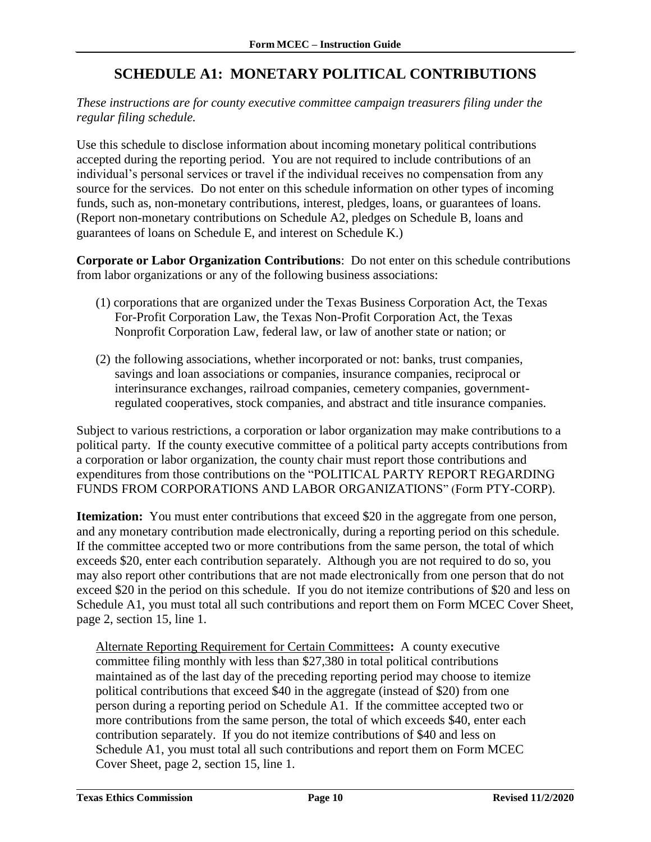## **SCHEDULE A1: MONETARY POLITICAL CONTRIBUTIONS**

<span id="page-11-0"></span>*These instructions are for county executive committee campaign treasurers filing under the regular filing schedule.*

Use this schedule to disclose information about incoming monetary political contributions accepted during the reporting period. You are not required to include contributions of an individual's personal services or travel if the individual receives no compensation from any source for the services. Do not enter on this schedule information on other types of incoming funds, such as, non-monetary contributions, interest, pledges, loans, or guarantees of loans. (Report non-monetary contributions on Schedule A2, pledges on Schedule B, loans and guarantees of loans on Schedule E, and interest on Schedule K.)

**Corporate or Labor Organization Contributions**: Do not enter on this schedule contributions from labor organizations or any of the following business associations:

- (1) corporations that are organized under the Texas Business Corporation Act, the Texas For-Profit Corporation Law, the Texas Non-Profit Corporation Act, the Texas Nonprofit Corporation Law, federal law, or law of another state or nation; or
- (2) the following associations, whether incorporated or not: banks, trust companies, savings and loan associations or companies, insurance companies, reciprocal or interinsurance exchanges, railroad companies, cemetery companies, governmentregulated cooperatives, stock companies, and abstract and title insurance companies.

Subject to various restrictions, a corporation or labor organization may make contributions to a political party. If the county executive committee of a political party accepts contributions from a corporation or labor organization, the county chair must report those contributions and expenditures from those contributions on the "POLITICAL PARTY REPORT REGARDING FUNDS FROM CORPORATIONS AND LABOR ORGANIZATIONS" (Form PTY-CORP).

**Itemization:** You must enter contributions that exceed \$20 in the aggregate from one person, and any monetary contribution made electronically, during a reporting period on this schedule. If the committee accepted two or more contributions from the same person, the total of which exceeds \$20, enter each contribution separately. Although you are not required to do so, you may also report other contributions that are not made electronically from one person that do not exceed \$20 in the period on this schedule. If you do not itemize contributions of \$20 and less on Schedule A1, you must total all such contributions and report them on Form MCEC Cover Sheet, page 2, section 15, line 1.

Alternate Reporting Requirement for Certain Committees**:** A county executive committee filing monthly with less than \$27,380 in total political contributions maintained as of the last day of the preceding reporting period may choose to itemize political contributions that exceed \$40 in the aggregate (instead of \$20) from one person during a reporting period on Schedule A1. If the committee accepted two or more contributions from the same person, the total of which exceeds \$40, enter each contribution separately. If you do not itemize contributions of \$40 and less on Schedule A1, you must total all such contributions and report them on Form MCEC Cover Sheet, page 2, section 15, line 1.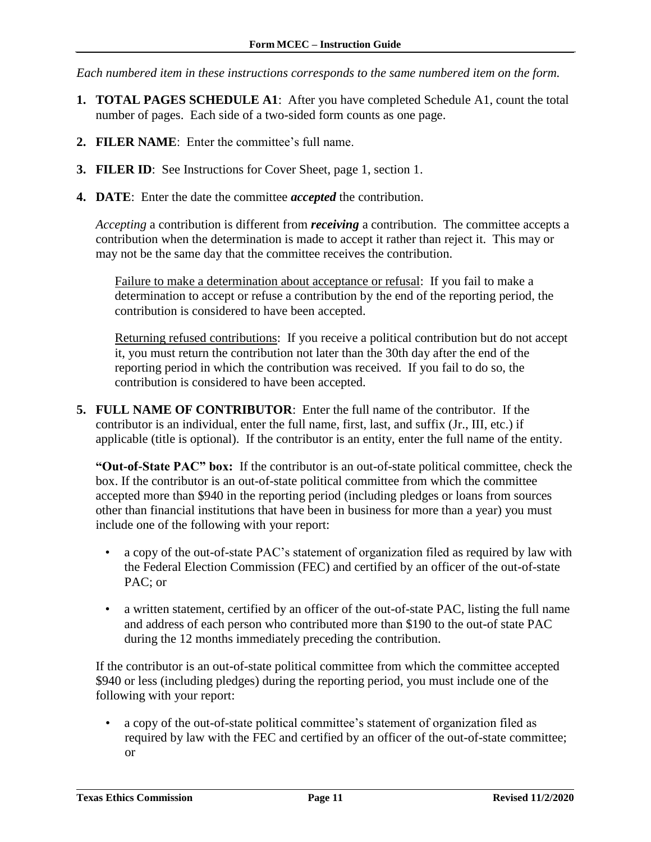*Each numbered item in these instructions corresponds to the same numbered item on the form.*

- **1. TOTAL PAGES SCHEDULE A1**: After you have completed Schedule A1, count the total number of pages. Each side of a two-sided form counts as one page.
- **2. FILER NAME**: Enter the committee's full name.
- **3. FILER ID**: See Instructions for Cover Sheet, page 1, section 1.
- **4. DATE**: Enter the date the committee *accepted* the contribution.

*Accepting* a contribution is different from *receiving* a contribution. The committee accepts a contribution when the determination is made to accept it rather than reject it. This may or may not be the same day that the committee receives the contribution.

Failure to make a determination about acceptance or refusal: If you fail to make a determination to accept or refuse a contribution by the end of the reporting period, the contribution is considered to have been accepted.

Returning refused contributions: If you receive a political contribution but do not accept it, you must return the contribution not later than the 30th day after the end of the reporting period in which the contribution was received. If you fail to do so, the contribution is considered to have been accepted.

**5. FULL NAME OF CONTRIBUTOR**: Enter the full name of the contributor. If the contributor is an individual, enter the full name, first, last, and suffix (Jr., III, etc.) if applicable (title is optional). If the contributor is an entity, enter the full name of the entity.

**"Out-of-State PAC" box:** If the contributor is an out-of-state political committee, check the box. If the contributor is an out-of-state political committee from which the committee accepted more than \$940 in the reporting period (including pledges or loans from sources other than financial institutions that have been in business for more than a year) you must include one of the following with your report:

- a copy of the out-of-state PAC's statement of organization filed as required by law with the Federal Election Commission (FEC) and certified by an officer of the out-of-state PAC; or
- a written statement, certified by an officer of the out-of-state PAC, listing the full name and address of each person who contributed more than \$190 to the out-of state PAC during the 12 months immediately preceding the contribution.

If the contributor is an out-of-state political committee from which the committee accepted \$940 or less (including pledges) during the reporting period, you must include one of the following with your report:

• a copy of the out-of-state political committee's statement of organization filed as required by law with the FEC and certified by an officer of the out-of-state committee; or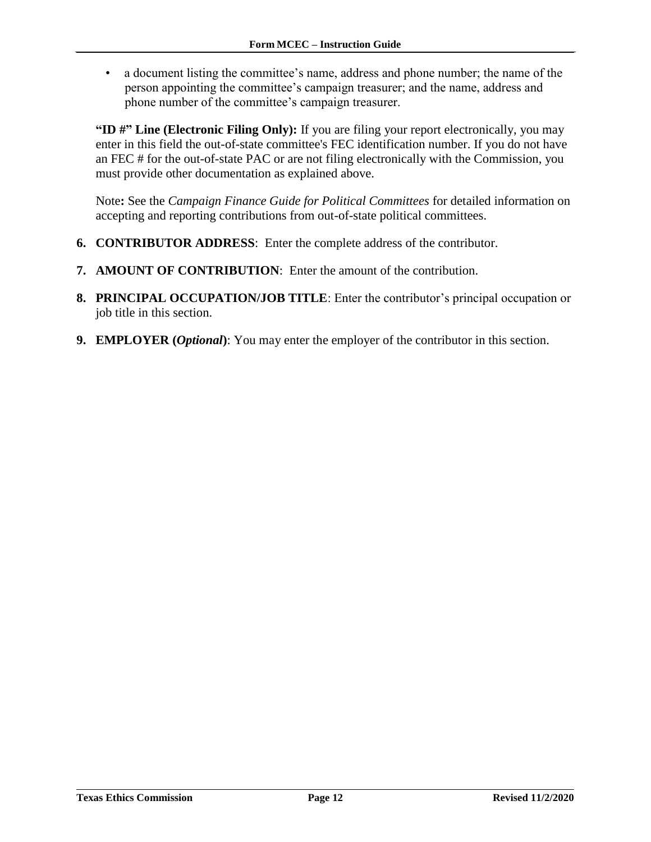• a document listing the committee's name, address and phone number; the name of the person appointing the committee's campaign treasurer; and the name, address and phone number of the committee's campaign treasurer.

**"ID #" Line (Electronic Filing Only):** If you are filing your report electronically, you may enter in this field the out-of-state committee's FEC identification number. If you do not have an FEC # for the out-of-state PAC or are not filing electronically with the Commission, you must provide other documentation as explained above.

Note**:** See the *Campaign Finance Guide for Political Committees* for detailed information on accepting and reporting contributions from out-of-state political committees.

- **6. CONTRIBUTOR ADDRESS**: Enter the complete address of the contributor.
- **7. AMOUNT OF CONTRIBUTION**: Enter the amount of the contribution.
- **8. PRINCIPAL OCCUPATION/JOB TITLE**: Enter the contributor's principal occupation or job title in this section.
- **9. EMPLOYER (***Optional***)**: You may enter the employer of the contributor in this section.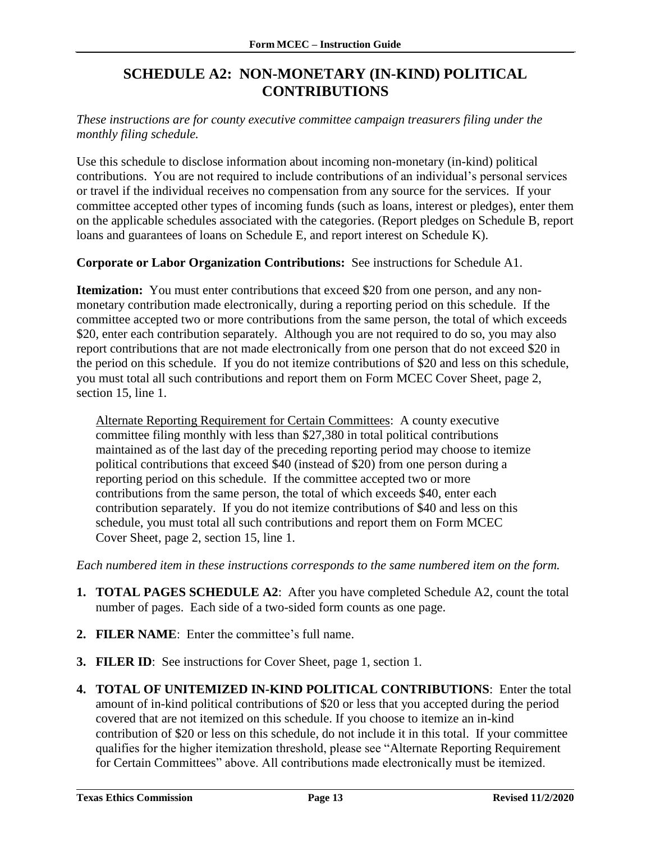### **SCHEDULE A2: NON-MONETARY (IN-KIND) POLITICAL CONTRIBUTIONS**

<span id="page-14-0"></span>*These instructions are for county executive committee campaign treasurers filing under the monthly filing schedule.*

Use this schedule to disclose information about incoming non-monetary (in-kind) political contributions. You are not required to include contributions of an individual's personal services or travel if the individual receives no compensation from any source for the services. If your committee accepted other types of incoming funds (such as loans, interest or pledges), enter them on the applicable schedules associated with the categories. (Report pledges on Schedule B, report loans and guarantees of loans on Schedule E, and report interest on Schedule K).

**Corporate or Labor Organization Contributions:** See instructions for Schedule A1.

**Itemization:** You must enter contributions that exceed \$20 from one person, and any nonmonetary contribution made electronically, during a reporting period on this schedule. If the committee accepted two or more contributions from the same person, the total of which exceeds \$20, enter each contribution separately. Although you are not required to do so, you may also report contributions that are not made electronically from one person that do not exceed \$20 in the period on this schedule. If you do not itemize contributions of \$20 and less on this schedule, you must total all such contributions and report them on Form MCEC Cover Sheet, page 2, section 15, line 1.

Alternate Reporting Requirement for Certain Committees: A county executive committee filing monthly with less than \$27,380 in total political contributions maintained as of the last day of the preceding reporting period may choose to itemize political contributions that exceed \$40 (instead of \$20) from one person during a reporting period on this schedule. If the committee accepted two or more contributions from the same person, the total of which exceeds \$40, enter each contribution separately. If you do not itemize contributions of \$40 and less on this schedule, you must total all such contributions and report them on Form MCEC Cover Sheet, page 2, section 15, line 1.

*Each numbered item in these instructions corresponds to the same numbered item on the form.*

- **1. TOTAL PAGES SCHEDULE A2**: After you have completed Schedule A2, count the total number of pages. Each side of a two-sided form counts as one page.
- **2. FILER NAME**: Enter the committee's full name.
- **3. FILER ID**: See instructions for Cover Sheet, page 1, section 1*.*
- **4. TOTAL OF UNITEMIZED IN-KIND POLITICAL CONTRIBUTIONS**: Enter the total amount of in-kind political contributions of \$20 or less that you accepted during the period covered that are not itemized on this schedule. If you choose to itemize an in-kind contribution of \$20 or less on this schedule, do not include it in this total. If your committee qualifies for the higher itemization threshold, please see "Alternate Reporting Requirement for Certain Committees" above. All contributions made electronically must be itemized.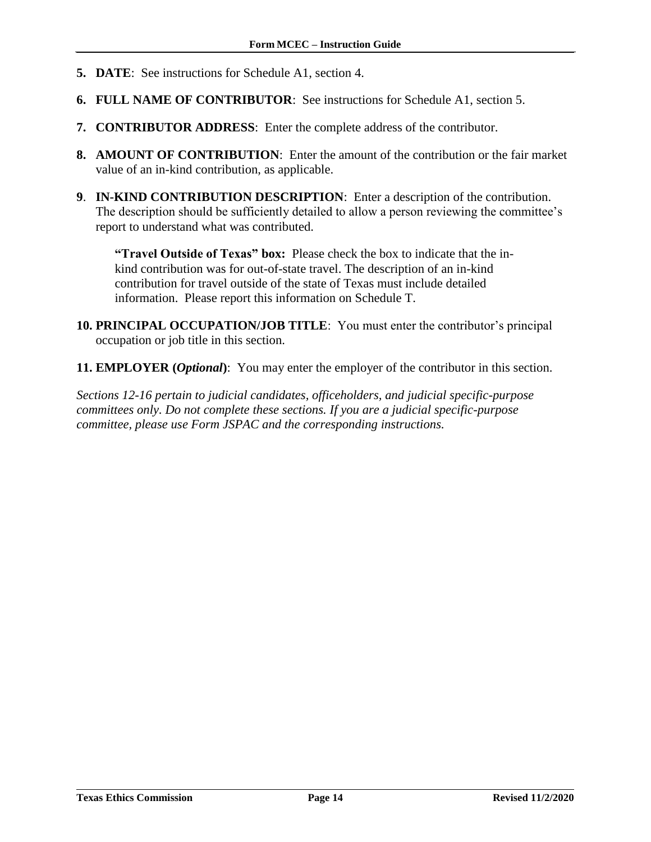- **5. DATE**: See instructions for Schedule A1, section 4.
- **6. FULL NAME OF CONTRIBUTOR**: See instructions for Schedule A1, section 5.
- **7. CONTRIBUTOR ADDRESS**: Enter the complete address of the contributor.
- **8. AMOUNT OF CONTRIBUTION**: Enter the amount of the contribution or the fair market value of an in-kind contribution, as applicable.
- **9**. **IN-KIND CONTRIBUTION DESCRIPTION**: Enter a description of the contribution. The description should be sufficiently detailed to allow a person reviewing the committee's report to understand what was contributed.

**"Travel Outside of Texas" box:** Please check the box to indicate that the inkind contribution was for out-of-state travel. The description of an in-kind contribution for travel outside of the state of Texas must include detailed information. Please report this information on Schedule T.

- **10. PRINCIPAL OCCUPATION/JOB TITLE**: You must enter the contributor's principal occupation or job title in this section.
- **11. EMPLOYER (***Optional***)**: You may enter the employer of the contributor in this section.

*Sections 12-16 pertain to judicial candidates, officeholders, and judicial specific-purpose committees only. Do not complete these sections. If you are a judicial specific-purpose committee, please use Form JSPAC and the corresponding instructions.*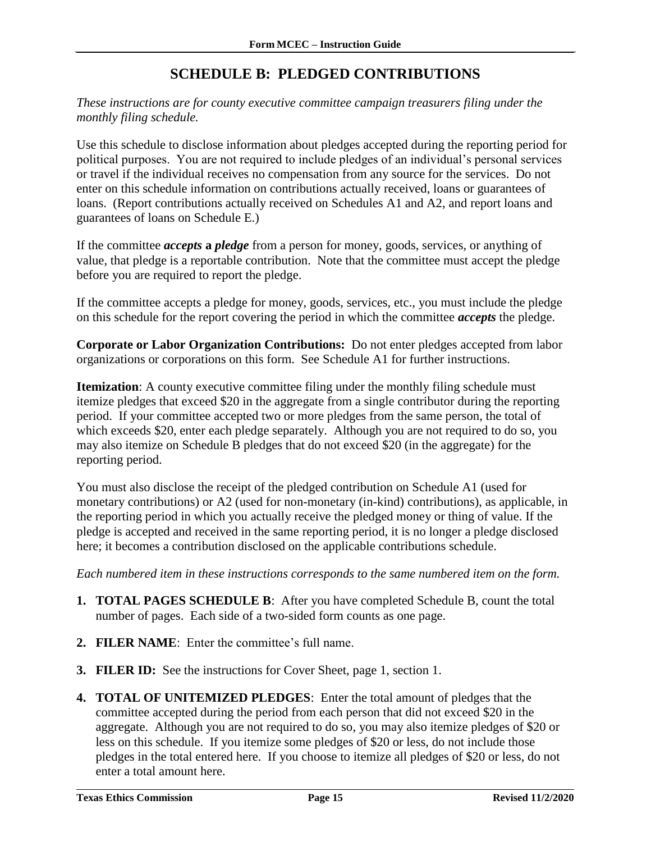# **SCHEDULE B: PLEDGED CONTRIBUTIONS**

<span id="page-16-0"></span>*These instructions are for county executive committee campaign treasurers filing under the monthly filing schedule.*

Use this schedule to disclose information about pledges accepted during the reporting period for political purposes. You are not required to include pledges of an individual's personal services or travel if the individual receives no compensation from any source for the services. Do not enter on this schedule information on contributions actually received, loans or guarantees of loans. (Report contributions actually received on Schedules A1 and A2, and report loans and guarantees of loans on Schedule E.)

If the committee *accepts* **a** *pledge* from a person for money, goods, services, or anything of value, that pledge is a reportable contribution. Note that the committee must accept the pledge before you are required to report the pledge.

If the committee accepts a pledge for money, goods, services, etc., you must include the pledge on this schedule for the report covering the period in which the committee *accepts* the pledge.

**Corporate or Labor Organization Contributions:** Do not enter pledges accepted from labor organizations or corporations on this form. See Schedule A1 for further instructions.

**Itemization**: A county executive committee filing under the monthly filing schedule must itemize pledges that exceed \$20 in the aggregate from a single contributor during the reporting period. If your committee accepted two or more pledges from the same person, the total of which exceeds \$20, enter each pledge separately. Although you are not required to do so, you may also itemize on Schedule B pledges that do not exceed \$20 (in the aggregate) for the reporting period.

You must also disclose the receipt of the pledged contribution on Schedule A1 (used for monetary contributions) or A2 (used for non-monetary (in-kind) contributions), as applicable, in the reporting period in which you actually receive the pledged money or thing of value. If the pledge is accepted and received in the same reporting period, it is no longer a pledge disclosed here; it becomes a contribution disclosed on the applicable contributions schedule.

*Each numbered item in these instructions corresponds to the same numbered item on the form.*

- **1. TOTAL PAGES SCHEDULE B**: After you have completed Schedule B, count the total number of pages. Each side of a two-sided form counts as one page.
- **2. FILER NAME**: Enter the committee's full name.
- **3. FILER ID:** See the instructions for Cover Sheet, page 1, section 1.
- **4. TOTAL OF UNITEMIZED PLEDGES**: Enter the total amount of pledges that the committee accepted during the period from each person that did not exceed \$20 in the aggregate. Although you are not required to do so, you may also itemize pledges of \$20 or less on this schedule. If you itemize some pledges of \$20 or less, do not include those pledges in the total entered here. If you choose to itemize all pledges of \$20 or less, do not enter a total amount here.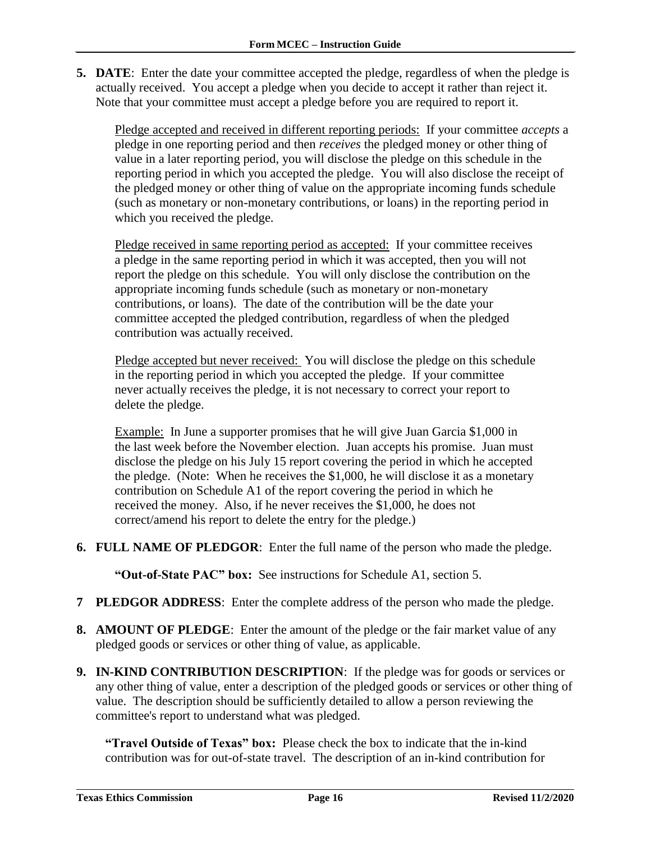**5. DATE**: Enter the date your committee accepted the pledge, regardless of when the pledge is actually received. You accept a pledge when you decide to accept it rather than reject it. Note that your committee must accept a pledge before you are required to report it.

Pledge accepted and received in different reporting periods: If your committee *accepts* a pledge in one reporting period and then *receives* the pledged money or other thing of value in a later reporting period, you will disclose the pledge on this schedule in the reporting period in which you accepted the pledge. You will also disclose the receipt of the pledged money or other thing of value on the appropriate incoming funds schedule (such as monetary or non-monetary contributions, or loans) in the reporting period in which you received the pledge.

Pledge received in same reporting period as accepted: If your committee receives a pledge in the same reporting period in which it was accepted, then you will not report the pledge on this schedule. You will only disclose the contribution on the appropriate incoming funds schedule (such as monetary or non-monetary contributions, or loans). The date of the contribution will be the date your committee accepted the pledged contribution, regardless of when the pledged contribution was actually received.

Pledge accepted but never received: You will disclose the pledge on this schedule in the reporting period in which you accepted the pledge. If your committee never actually receives the pledge, it is not necessary to correct your report to delete the pledge.

Example: In June a supporter promises that he will give Juan Garcia \$1,000 in the last week before the November election. Juan accepts his promise. Juan must disclose the pledge on his July 15 report covering the period in which he accepted the pledge. (Note: When he receives the \$1,000, he will disclose it as a monetary contribution on Schedule A1 of the report covering the period in which he received the money. Also, if he never receives the \$1,000, he does not correct/amend his report to delete the entry for the pledge.)

**6. FULL NAME OF PLEDGOR**: Enter the full name of the person who made the pledge.

**"Out-of-State PAC" box:** See instructions for Schedule A1, section 5.

- **7 PLEDGOR ADDRESS**: Enter the complete address of the person who made the pledge.
- **8. AMOUNT OF PLEDGE**: Enter the amount of the pledge or the fair market value of any pledged goods or services or other thing of value, as applicable.
- **9. IN-KIND CONTRIBUTION DESCRIPTION**: If the pledge was for goods or services or any other thing of value, enter a description of the pledged goods or services or other thing of value. The description should be sufficiently detailed to allow a person reviewing the committee's report to understand what was pledged.

**"Travel Outside of Texas" box:** Please check the box to indicate that the in-kind contribution was for out-of-state travel.The description of an in-kind contribution for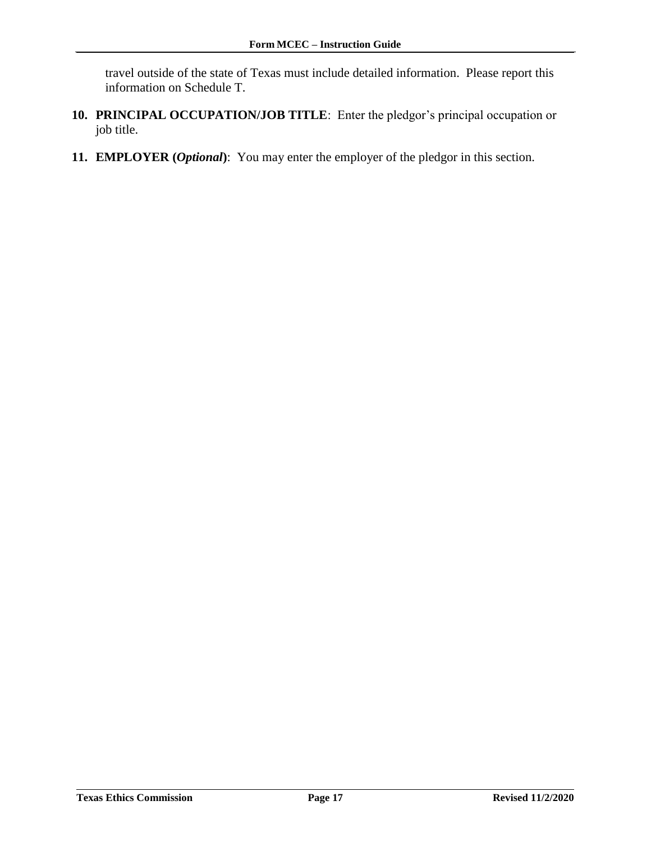travel outside of the state of Texas must include detailed information. Please report this information on Schedule T.

- **10. PRINCIPAL OCCUPATION/JOB TITLE**: Enter the pledgor's principal occupation or job title.
- **11. EMPLOYER (***Optional***)**: You may enter the employer of the pledgor in this section.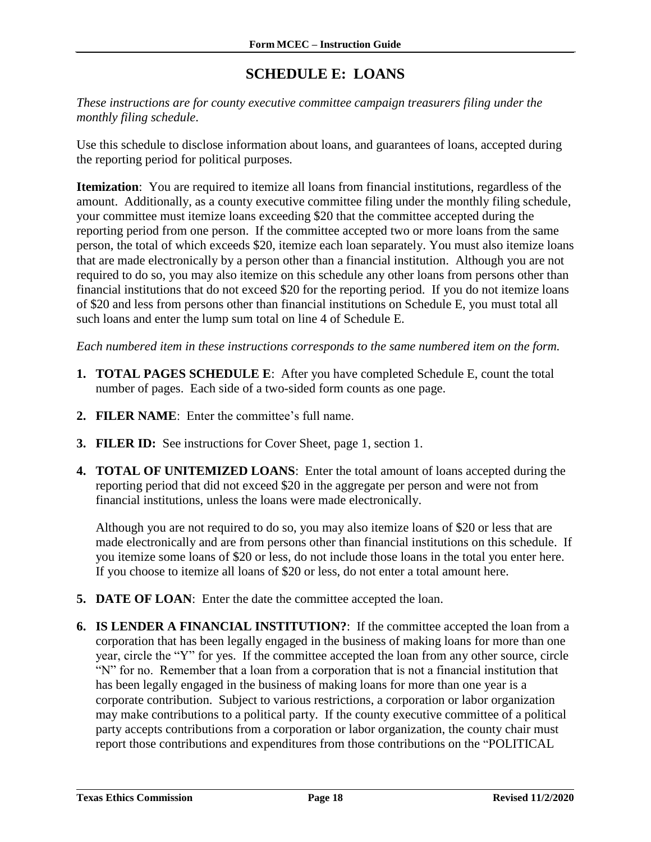# **SCHEDULE E: LOANS**

<span id="page-19-0"></span>*These instructions are for county executive committee campaign treasurers filing under the monthly filing schedule*.

Use this schedule to disclose information about loans, and guarantees of loans, accepted during the reporting period for political purposes*.*

**Itemization**: You are required to itemize all loans from financial institutions, regardless of the amount. Additionally, as a county executive committee filing under the monthly filing schedule, your committee must itemize loans exceeding \$20 that the committee accepted during the reporting period from one person. If the committee accepted two or more loans from the same person, the total of which exceeds \$20, itemize each loan separately. You must also itemize loans that are made electronically by a person other than a financial institution. Although you are not required to do so, you may also itemize on this schedule any other loans from persons other than financial institutions that do not exceed \$20 for the reporting period. If you do not itemize loans of \$20 and less from persons other than financial institutions on Schedule E, you must total all such loans and enter the lump sum total on line 4 of Schedule E.

*Each numbered item in these instructions corresponds to the same numbered item on the form.*

- **1. TOTAL PAGES SCHEDULE E**: After you have completed Schedule E, count the total number of pages. Each side of a two-sided form counts as one page.
- **2. FILER NAME**: Enter the committee's full name.
- **3. FILER ID:** See instructions for Cover Sheet, page 1, section 1.
- **4. TOTAL OF UNITEMIZED LOANS**: Enter the total amount of loans accepted during the reporting period that did not exceed \$20 in the aggregate per person and were not from financial institutions, unless the loans were made electronically.

Although you are not required to do so, you may also itemize loans of \$20 or less that are made electronically and are from persons other than financial institutions on this schedule. If you itemize some loans of \$20 or less, do not include those loans in the total you enter here. If you choose to itemize all loans of \$20 or less, do not enter a total amount here.

- **5. DATE OF LOAN**: Enter the date the committee accepted the loan.
- **6. IS LENDER A FINANCIAL INSTITUTION?**: If the committee accepted the loan from a corporation that has been legally engaged in the business of making loans for more than one year, circle the "Y" for yes. If the committee accepted the loan from any other source, circle "N" for no. Remember that a loan from a corporation that is not a financial institution that has been legally engaged in the business of making loans for more than one year is a corporate contribution. Subject to various restrictions, a corporation or labor organization may make contributions to a political party. If the county executive committee of a political party accepts contributions from a corporation or labor organization, the county chair must report those contributions and expenditures from those contributions on the "POLITICAL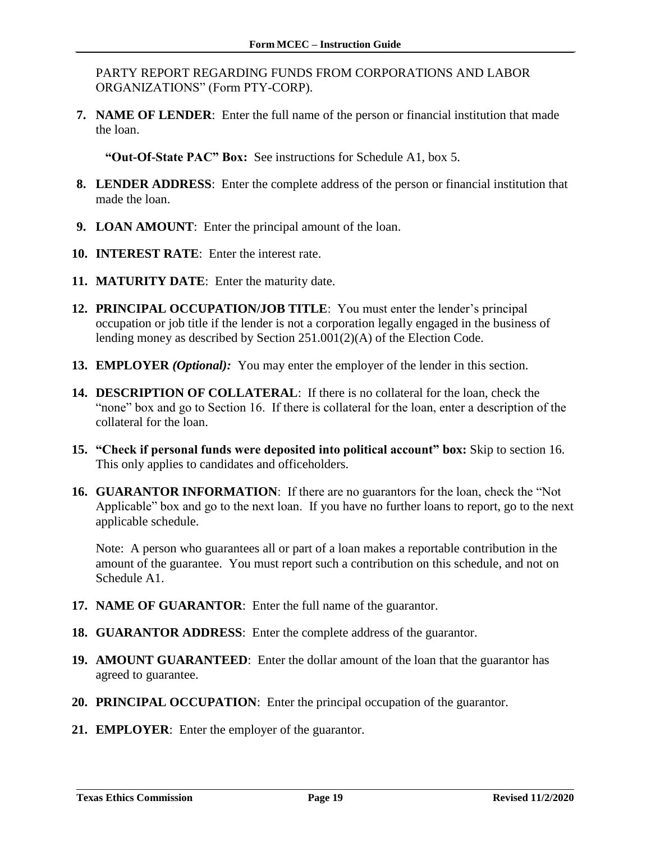PARTY REPORT REGARDING FUNDS FROM CORPORATIONS AND LABOR ORGANIZATIONS" (Form PTY-CORP).

**7. NAME OF LENDER**: Enter the full name of the person or financial institution that made the loan.

**"Out-Of-State PAC" Box:** See instructions for Schedule A1, box 5.

- **8. LENDER ADDRESS**: Enter the complete address of the person or financial institution that made the loan.
- **9. LOAN AMOUNT**: Enter the principal amount of the loan.
- **10. INTEREST RATE**: Enter the interest rate.
- **11. MATURITY DATE**: Enter the maturity date.
- **12. PRINCIPAL OCCUPATION/JOB TITLE**: You must enter the lender's principal occupation or job title if the lender is not a corporation legally engaged in the business of lending money as described by Section 251.001(2)(A) of the Election Code.
- **13. EMPLOYER** *(Optional):* You may enter the employer of the lender in this section.
- **14. DESCRIPTION OF COLLATERAL**: If there is no collateral for the loan, check the "none" box and go to Section 16. If there is collateral for the loan, enter a description of the collateral for the loan.
- **15. "Check if personal funds were deposited into political account" box:** Skip to section 16. This only applies to candidates and officeholders.
- **16. GUARANTOR INFORMATION**: If there are no guarantors for the loan, check the "Not Applicable" box and go to the next loan. If you have no further loans to report, go to the next applicable schedule.

Note: A person who guarantees all or part of a loan makes a reportable contribution in the amount of the guarantee. You must report such a contribution on this schedule, and not on Schedule A1.

- **17. NAME OF GUARANTOR**: Enter the full name of the guarantor.
- **18. GUARANTOR ADDRESS**: Enter the complete address of the guarantor.
- **19. AMOUNT GUARANTEED**: Enter the dollar amount of the loan that the guarantor has agreed to guarantee.
- **20. PRINCIPAL OCCUPATION**: Enter the principal occupation of the guarantor.
- **21. EMPLOYER**: Enter the employer of the guarantor.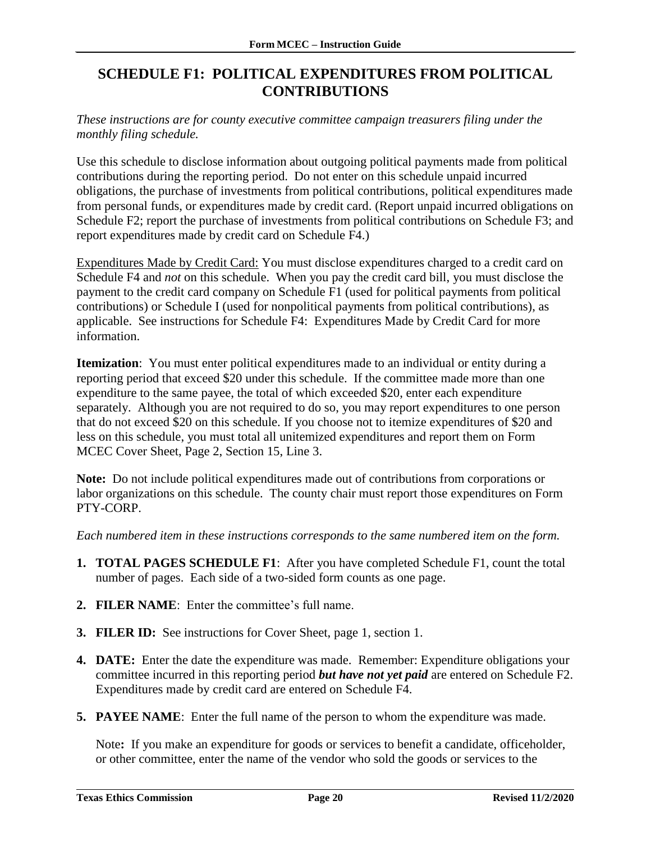## <span id="page-21-0"></span>**SCHEDULE F1: POLITICAL EXPENDITURES FROM POLITICAL CONTRIBUTIONS**

*These instructions are for county executive committee campaign treasurers filing under the monthly filing schedule.*

Use this schedule to disclose information about outgoing political payments made from political contributions during the reporting period. Do not enter on this schedule unpaid incurred obligations, the purchase of investments from political contributions, political expenditures made from personal funds, or expenditures made by credit card. (Report unpaid incurred obligations on Schedule F2; report the purchase of investments from political contributions on Schedule F3; and report expenditures made by credit card on Schedule F4.)

Expenditures Made by Credit Card: You must disclose expenditures charged to a credit card on Schedule F4 and *not* on this schedule. When you pay the credit card bill, you must disclose the payment to the credit card company on Schedule F1 (used for political payments from political contributions) or Schedule I (used for nonpolitical payments from political contributions), as applicable. See instructions for Schedule F4: Expenditures Made by Credit Card for more information.

**Itemization**: You must enter political expenditures made to an individual or entity during a reporting period that exceed \$20 under this schedule. If the committee made more than one expenditure to the same payee, the total of which exceeded \$20, enter each expenditure separately. Although you are not required to do so, you may report expenditures to one person that do not exceed \$20 on this schedule. If you choose not to itemize expenditures of \$20 and less on this schedule, you must total all unitemized expenditures and report them on Form MCEC Cover Sheet, Page 2, Section 15, Line 3.

**Note:** Do not include political expenditures made out of contributions from corporations or labor organizations on this schedule. The county chair must report those expenditures on Form PTY-CORP.

*Each numbered item in these instructions corresponds to the same numbered item on the form.*

- **1. TOTAL PAGES SCHEDULE F1**: After you have completed Schedule F1, count the total number of pages. Each side of a two-sided form counts as one page.
- **2. FILER NAME**: Enter the committee's full name.
- **3. FILER ID:** See instructions for Cover Sheet, page 1, section 1.
- **4. DATE:** Enter the date the expenditure was made. Remember: Expenditure obligations your committee incurred in this reporting period *but have not yet paid* are entered on Schedule F2. Expenditures made by credit card are entered on Schedule F4.
- **5. PAYEE NAME**: Enter the full name of the person to whom the expenditure was made.

Note**:** If you make an expenditure for goods or services to benefit a candidate, officeholder, or other committee, enter the name of the vendor who sold the goods or services to the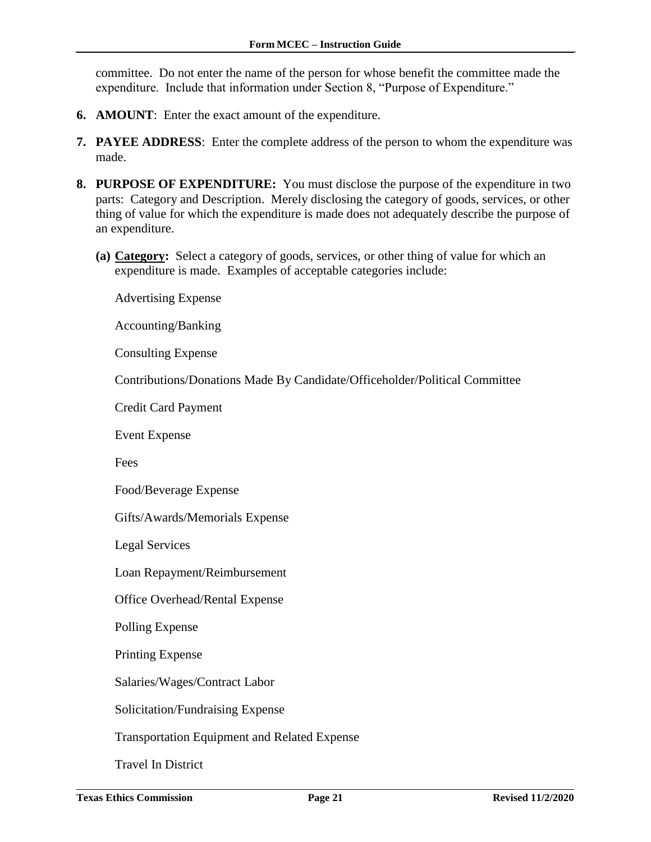committee. Do not enter the name of the person for whose benefit the committee made the expenditure. Include that information under Section 8, "Purpose of Expenditure."

- **6. AMOUNT**: Enter the exact amount of the expenditure.
- **7. PAYEE ADDRESS**: Enter the complete address of the person to whom the expenditure was made.
- **8. PURPOSE OF EXPENDITURE:** You must disclose the purpose of the expenditure in two parts: Category and Description. Merely disclosing the category of goods, services, or other thing of value for which the expenditure is made does not adequately describe the purpose of an expenditure.
	- **(a) Category:** Select a category of goods, services, or other thing of value for which an expenditure is made. Examples of acceptable categories include:

Advertising Expense

Accounting/Banking

Consulting Expense

Contributions/Donations Made By Candidate/Officeholder/Political Committee

Credit Card Payment

Event Expense

Fees

Food/Beverage Expense

Gifts/Awards/Memorials Expense

Legal Services

Loan Repayment/Reimbursement

Office Overhead/Rental Expense

Polling Expense

Printing Expense

Salaries/Wages/Contract Labor

Solicitation/Fundraising Expense

Transportation Equipment and Related Expense

Travel In District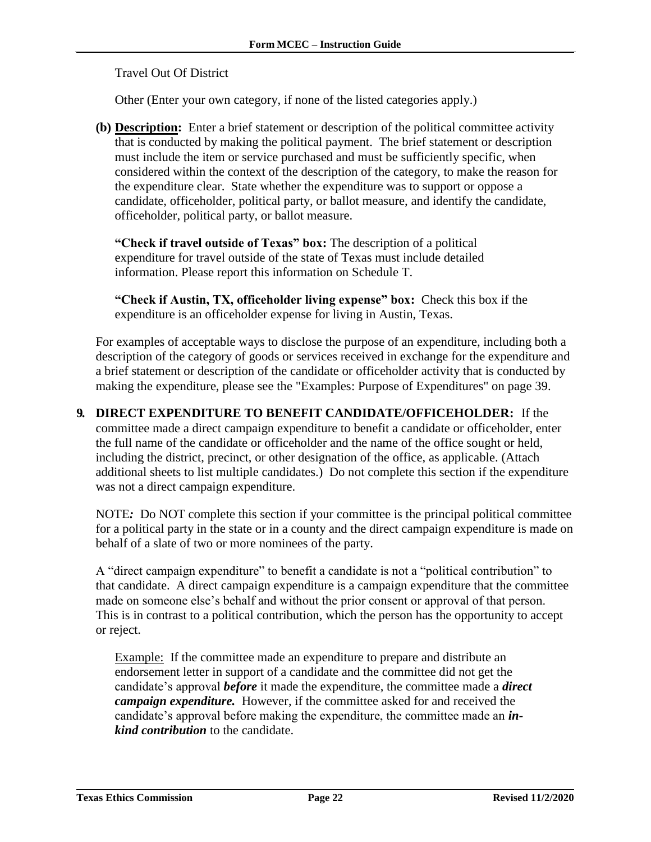Travel Out Of District

Other (Enter your own category, if none of the listed categories apply.)

**(b) Description:** Enter a brief statement or description of the political committee activity that is conducted by making the political payment. The brief statement or description must include the item or service purchased and must be sufficiently specific, when considered within the context of the description of the category, to make the reason for the expenditure clear. State whether the expenditure was to support or oppose a candidate, officeholder, political party, or ballot measure, and identify the candidate, officeholder, political party, or ballot measure.

**"Check if travel outside of Texas" box:** The description of a political expenditure for travel outside of the state of Texas must include detailed information. Please report this information on Schedule T.

**"Check if Austin, TX, officeholder living expense" box:** Check this box if the expenditure is an officeholder expense for living in Austin, Texas.

For examples of acceptable ways to disclose the purpose of an expenditure, including both a description of the category of goods or services received in exchange for the expenditure and a brief statement or description of the candidate or officeholder activity that is conducted by making the expenditure, please see the "Examples: Purpose of Expenditures" on page 39.

**9. DIRECT EXPENDITURE TO BENEFIT CANDIDATE/OFFICEHOLDER:** If the committee made a direct campaign expenditure to benefit a candidate or officeholder, enter the full name of the candidate or officeholder and the name of the office sought or held, including the district, precinct, or other designation of the office, as applicable. (Attach additional sheets to list multiple candidates.) Do not complete this section if the expenditure was not a direct campaign expenditure.

NOTE*:* Do NOT complete this section if your committee is the principal political committee for a political party in the state or in a county and the direct campaign expenditure is made on behalf of a slate of two or more nominees of the party.

A "direct campaign expenditure" to benefit a candidate is not a "political contribution" to that candidate. A direct campaign expenditure is a campaign expenditure that the committee made on someone else's behalf and without the prior consent or approval of that person. This is in contrast to a political contribution, which the person has the opportunity to accept or reject.

Example: If the committee made an expenditure to prepare and distribute an endorsement letter in support of a candidate and the committee did not get the candidate's approval *before* it made the expenditure, the committee made a *direct campaign expenditure.* However, if the committee asked for and received the candidate's approval before making the expenditure, the committee made an *inkind contribution* to the candidate.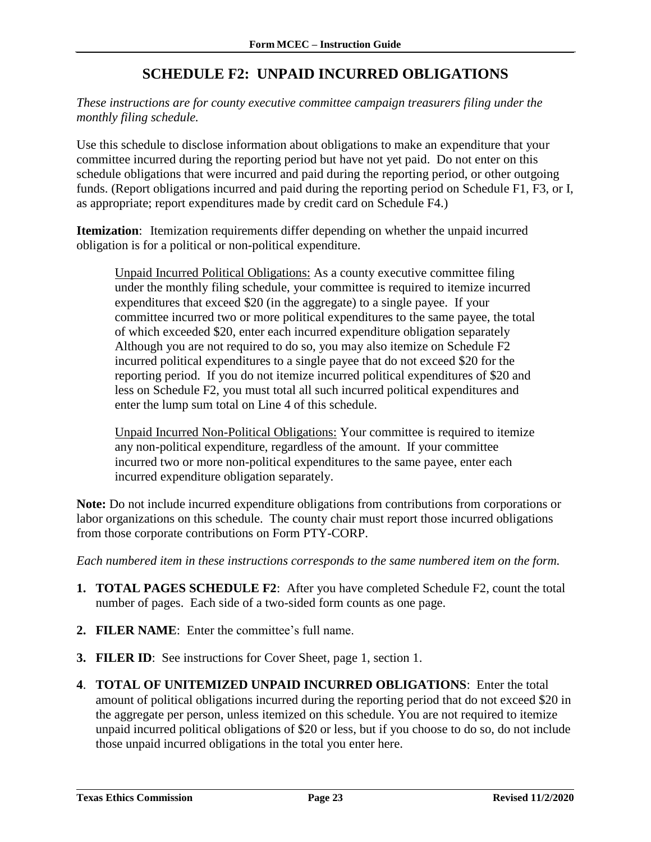# **SCHEDULE F2: UNPAID INCURRED OBLIGATIONS**

<span id="page-24-0"></span>*These instructions are for county executive committee campaign treasurers filing under the monthly filing schedule.*

Use this schedule to disclose information about obligations to make an expenditure that your committee incurred during the reporting period but have not yet paid. Do not enter on this schedule obligations that were incurred and paid during the reporting period, or other outgoing funds. (Report obligations incurred and paid during the reporting period on Schedule F1, F3, or I, as appropriate; report expenditures made by credit card on Schedule F4.)

**Itemization**: Itemization requirements differ depending on whether the unpaid incurred obligation is for a political or non-political expenditure.

Unpaid Incurred Political Obligations: As a county executive committee filing under the monthly filing schedule, your committee is required to itemize incurred expenditures that exceed \$20 (in the aggregate) to a single payee. If your committee incurred two or more political expenditures to the same payee, the total of which exceeded \$20, enter each incurred expenditure obligation separately Although you are not required to do so, you may also itemize on Schedule F2 incurred political expenditures to a single payee that do not exceed \$20 for the reporting period. If you do not itemize incurred political expenditures of \$20 and less on Schedule F2, you must total all such incurred political expenditures and enter the lump sum total on Line 4 of this schedule.

Unpaid Incurred Non-Political Obligations: Your committee is required to itemize any non-political expenditure, regardless of the amount. If your committee incurred two or more non-political expenditures to the same payee, enter each incurred expenditure obligation separately.

**Note:** Do not include incurred expenditure obligations from contributions from corporations or labor organizations on this schedule. The county chair must report those incurred obligations from those corporate contributions on Form PTY-CORP.

*Each numbered item in these instructions corresponds to the same numbered item on the form.*

- **1. TOTAL PAGES SCHEDULE F2**: After you have completed Schedule F2, count the total number of pages. Each side of a two-sided form counts as one page.
- **2. FILER NAME**: Enter the committee's full name.
- **3. FILER ID**: See instructions for Cover Sheet, page 1, section 1.
- **4**. **TOTAL OF UNITEMIZED UNPAID INCURRED OBLIGATIONS**: Enter the total amount of political obligations incurred during the reporting period that do not exceed \$20 in the aggregate per person, unless itemized on this schedule. You are not required to itemize unpaid incurred political obligations of \$20 or less, but if you choose to do so, do not include those unpaid incurred obligations in the total you enter here.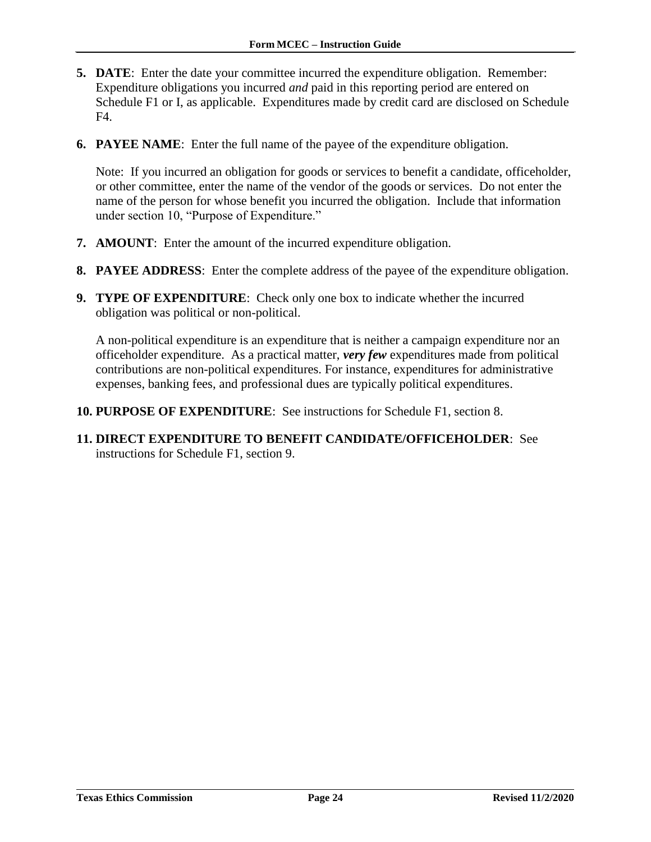- **5. DATE**: Enter the date your committee incurred the expenditure obligation. Remember: Expenditure obligations you incurred *and* paid in this reporting period are entered on Schedule F1 or I, as applicable. Expenditures made by credit card are disclosed on Schedule F4.
- **6. PAYEE NAME**: Enter the full name of the payee of the expenditure obligation.

Note: If you incurred an obligation for goods or services to benefit a candidate, officeholder, or other committee, enter the name of the vendor of the goods or services. Do not enter the name of the person for whose benefit you incurred the obligation. Include that information under section 10, "Purpose of Expenditure."

- **7. AMOUNT**: Enter the amount of the incurred expenditure obligation.
- **8. PAYEE ADDRESS**: Enter the complete address of the payee of the expenditure obligation.
- **9. TYPE OF EXPENDITURE**: Check only one box to indicate whether the incurred obligation was political or non-political.

A non-political expenditure is an expenditure that is neither a campaign expenditure nor an officeholder expenditure. As a practical matter, *very few* expenditures made from political contributions are non-political expenditures. For instance, expenditures for administrative expenses, banking fees, and professional dues are typically political expenditures.

- **10. PURPOSE OF EXPENDITURE**: See instructions for Schedule F1, section 8.
- **11. DIRECT EXPENDITURE TO BENEFIT CANDIDATE/OFFICEHOLDER**: See instructions for Schedule F1, section 9.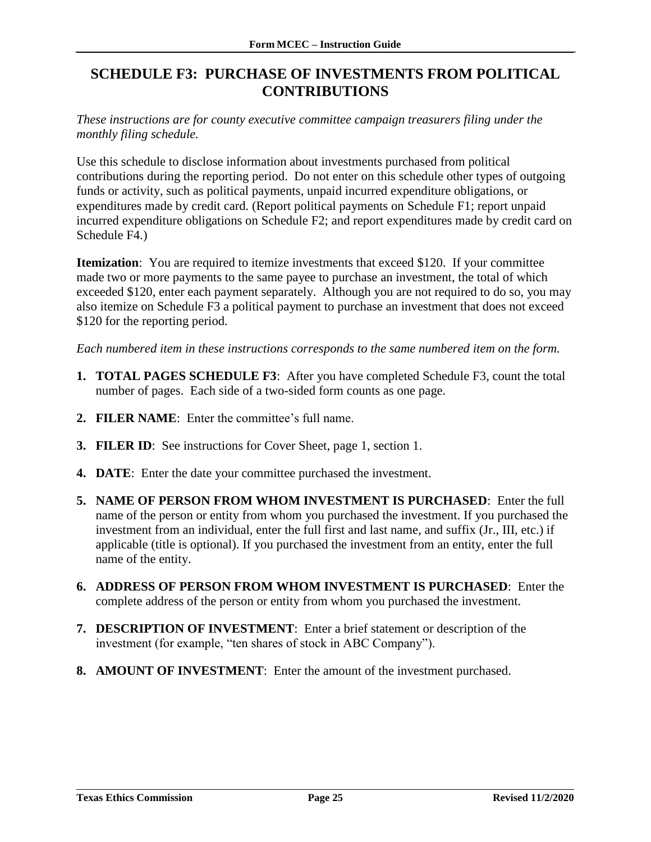# <span id="page-26-0"></span>**SCHEDULE F3: PURCHASE OF INVESTMENTS FROM POLITICAL CONTRIBUTIONS**

*These instructions are for county executive committee campaign treasurers filing under the monthly filing schedule.*

Use this schedule to disclose information about investments purchased from political contributions during the reporting period. Do not enter on this schedule other types of outgoing funds or activity, such as political payments, unpaid incurred expenditure obligations, or expenditures made by credit card. (Report political payments on Schedule F1; report unpaid incurred expenditure obligations on Schedule F2; and report expenditures made by credit card on Schedule F4.)

**Itemization**: You are required to itemize investments that exceed \$120. If your committee made two or more payments to the same payee to purchase an investment, the total of which exceeded \$120, enter each payment separately. Although you are not required to do so, you may also itemize on Schedule F3 a political payment to purchase an investment that does not exceed \$120 for the reporting period.

*Each numbered item in these instructions corresponds to the same numbered item on the form.*

- **1. TOTAL PAGES SCHEDULE F3**: After you have completed Schedule F3, count the total number of pages. Each side of a two-sided form counts as one page.
- **2. FILER NAME**: Enter the committee's full name.
- **3. FILER ID**: See instructions for Cover Sheet, page 1, section 1.
- **4. DATE**: Enter the date your committee purchased the investment.
- **5. NAME OF PERSON FROM WHOM INVESTMENT IS PURCHASED**: Enter the full name of the person or entity from whom you purchased the investment. If you purchased the investment from an individual, enter the full first and last name, and suffix (Jr., III, etc.) if applicable (title is optional). If you purchased the investment from an entity, enter the full name of the entity.
- **6. ADDRESS OF PERSON FROM WHOM INVESTMENT IS PURCHASED**: Enter the complete address of the person or entity from whom you purchased the investment.
- **7. DESCRIPTION OF INVESTMENT**: Enter a brief statement or description of the investment (for example, "ten shares of stock in ABC Company").
- **8. AMOUNT OF INVESTMENT**: Enter the amount of the investment purchased.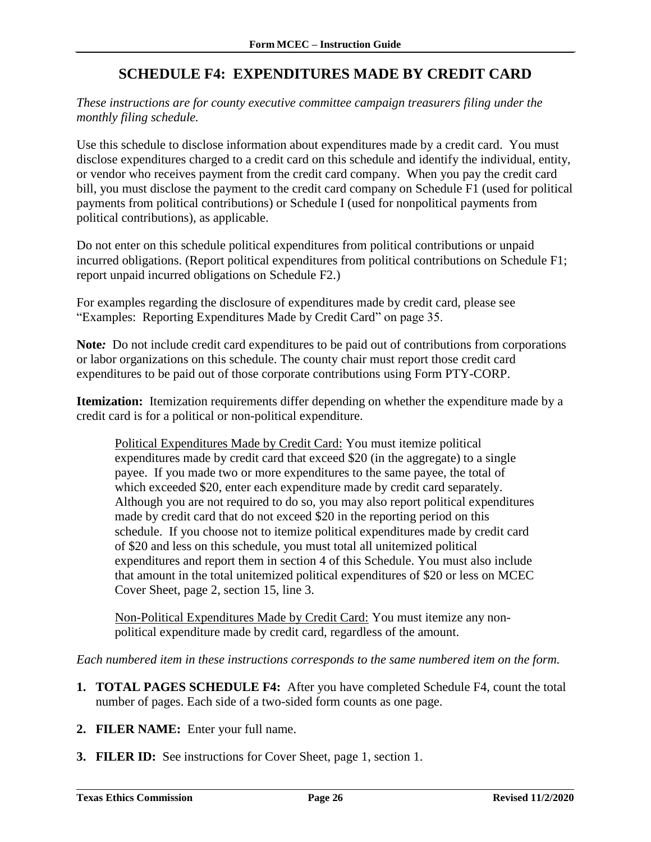## **SCHEDULE F4: EXPENDITURES MADE BY CREDIT CARD**

<span id="page-27-0"></span>*These instructions are for county executive committee campaign treasurers filing under the monthly filing schedule.*

Use this schedule to disclose information about expenditures made by a credit card. You must disclose expenditures charged to a credit card on this schedule and identify the individual, entity, or vendor who receives payment from the credit card company. When you pay the credit card bill, you must disclose the payment to the credit card company on Schedule F1 (used for political payments from political contributions) or Schedule I (used for nonpolitical payments from political contributions), as applicable.

Do not enter on this schedule political expenditures from political contributions or unpaid incurred obligations. (Report political expenditures from political contributions on Schedule F1; report unpaid incurred obligations on Schedule F2.)

For examples regarding the disclosure of expenditures made by credit card, please see "Examples: Reporting Expenditures Made by Credit Card" on page 35.

**Note***:* Do not include credit card expenditures to be paid out of contributions from corporations or labor organizations on this schedule. The county chair must report those credit card expenditures to be paid out of those corporate contributions using Form PTY-CORP.

**Itemization:** Itemization requirements differ depending on whether the expenditure made by a credit card is for a political or non-political expenditure.

Political Expenditures Made by Credit Card: You must itemize political expenditures made by credit card that exceed \$20 (in the aggregate) to a single payee. If you made two or more expenditures to the same payee, the total of which exceeded \$20, enter each expenditure made by credit card separately. Although you are not required to do so, you may also report political expenditures made by credit card that do not exceed \$20 in the reporting period on this schedule. If you choose not to itemize political expenditures made by credit card of \$20 and less on this schedule, you must total all unitemized political expenditures and report them in section 4 of this Schedule. You must also include that amount in the total unitemized political expenditures of \$20 or less on MCEC Cover Sheet, page 2, section 15, line 3.

Non-Political Expenditures Made by Credit Card: You must itemize any nonpolitical expenditure made by credit card, regardless of the amount.

*Each numbered item in these instructions corresponds to the same numbered item on the form.*

- **1. TOTAL PAGES SCHEDULE F4:** After you have completed Schedule F4, count the total number of pages. Each side of a two-sided form counts as one page.
- **2. FILER NAME:** Enter your full name.
- **3. FILER ID:** See instructions for Cover Sheet, page 1, section 1.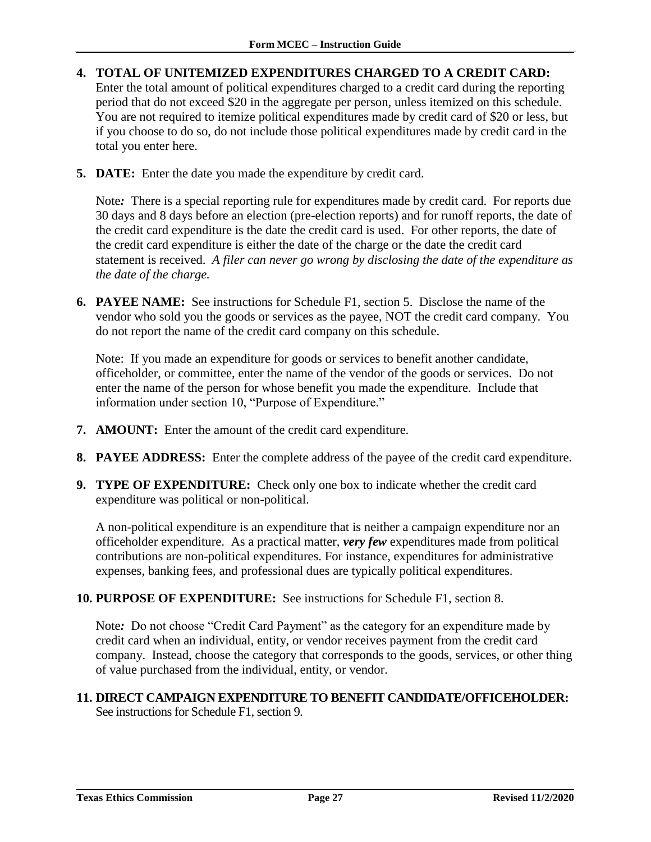- **4. TOTAL OF UNITEMIZED EXPENDITURES CHARGED TO A CREDIT CARD:**  Enter the total amount of political expenditures charged to a credit card during the reporting period that do not exceed \$20 in the aggregate per person, unless itemized on this schedule. You are not required to itemize political expenditures made by credit card of \$20 or less, but if you choose to do so, do not include those political expenditures made by credit card in the total you enter here.
- **5. DATE:** Enter the date you made the expenditure by credit card.

Note*:* There is a special reporting rule for expenditures made by credit card. For reports due 30 days and 8 days before an election (pre-election reports) and for runoff reports, the date of the credit card expenditure is the date the credit card is used. For other reports, the date of the credit card expenditure is either the date of the charge or the date the credit card statement is received. *A filer can never go wrong by disclosing the date of the expenditure as the date of the charge.*

**6. PAYEE NAME:** See instructions for Schedule F1, section 5. Disclose the name of the vendor who sold you the goods or services as the payee, NOT the credit card company. You do not report the name of the credit card company on this schedule.

Note: If you made an expenditure for goods or services to benefit another candidate, officeholder, or committee, enter the name of the vendor of the goods or services. Do not enter the name of the person for whose benefit you made the expenditure. Include that information under section 10, "Purpose of Expenditure."

- **7. AMOUNT:** Enter the amount of the credit card expenditure.
- **8. PAYEE ADDRESS:** Enter the complete address of the payee of the credit card expenditure.
- **9. TYPE OF EXPENDITURE:** Check only one box to indicate whether the credit card expenditure was political or non-political.

A non-political expenditure is an expenditure that is neither a campaign expenditure nor an officeholder expenditure. As a practical matter, *very few* expenditures made from political contributions are non-political expenditures. For instance, expenditures for administrative expenses, banking fees, and professional dues are typically political expenditures.

**10. PURPOSE OF EXPENDITURE:** See instructions for Schedule F1, section 8.

Note*:* Do not choose "Credit Card Payment" as the category for an expenditure made by credit card when an individual, entity, or vendor receives payment from the credit card company. Instead, choose the category that corresponds to the goods, services, or other thing of value purchased from the individual, entity, or vendor.

**11. DIRECT CAMPAIGN EXPENDITURE TO BENEFIT CANDIDATE/OFFICEHOLDER:**  See instructions for Schedule F1, section 9.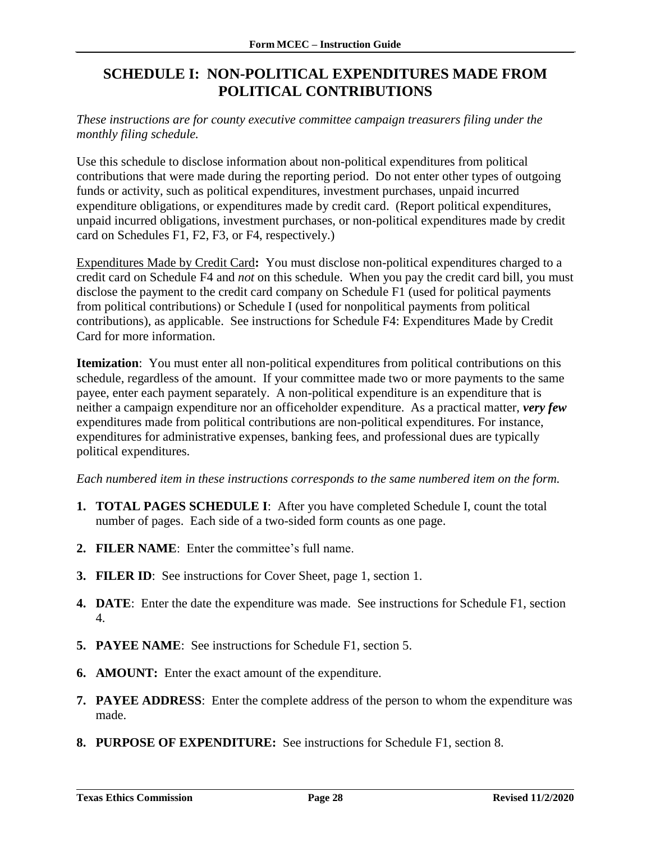# <span id="page-29-0"></span>**SCHEDULE I: NON-POLITICAL EXPENDITURES MADE FROM POLITICAL CONTRIBUTIONS**

#### *These instructions are for county executive committee campaign treasurers filing under the monthly filing schedule.*

Use this schedule to disclose information about non-political expenditures from political contributions that were made during the reporting period. Do not enter other types of outgoing funds or activity, such as political expenditures, investment purchases, unpaid incurred expenditure obligations, or expenditures made by credit card. (Report political expenditures, unpaid incurred obligations, investment purchases, or non-political expenditures made by credit card on Schedules F1, F2, F3, or F4, respectively.)

Expenditures Made by Credit Card**:** You must disclose non-political expenditures charged to a credit card on Schedule F4 and *not* on this schedule. When you pay the credit card bill, you must disclose the payment to the credit card company on Schedule F1 (used for political payments from political contributions) or Schedule I (used for nonpolitical payments from political contributions), as applicable. See instructions for Schedule F4: Expenditures Made by Credit Card for more information.

**Itemization**: You must enter all non-political expenditures from political contributions on this schedule, regardless of the amount. If your committee made two or more payments to the same payee, enter each payment separately. A non-political expenditure is an expenditure that is neither a campaign expenditure nor an officeholder expenditure. As a practical matter, *very few* expenditures made from political contributions are non-political expenditures. For instance, expenditures for administrative expenses, banking fees, and professional dues are typically political expenditures.

*Each numbered item in these instructions corresponds to the same numbered item on the form.*

- **1. TOTAL PAGES SCHEDULE I**: After you have completed Schedule I, count the total number of pages. Each side of a two-sided form counts as one page.
- **2. FILER NAME**: Enter the committee's full name.
- **3. FILER ID**: See instructions for Cover Sheet, page 1, section 1.
- **4. DATE**: Enter the date the expenditure was made. See instructions for Schedule F1, section 4.
- **5. PAYEE NAME**: See instructions for Schedule F1, section 5.
- **6. AMOUNT:** Enter the exact amount of the expenditure.
- **7. PAYEE ADDRESS**: Enter the complete address of the person to whom the expenditure was made.
- **8. PURPOSE OF EXPENDITURE:** See instructions for Schedule F1, section 8.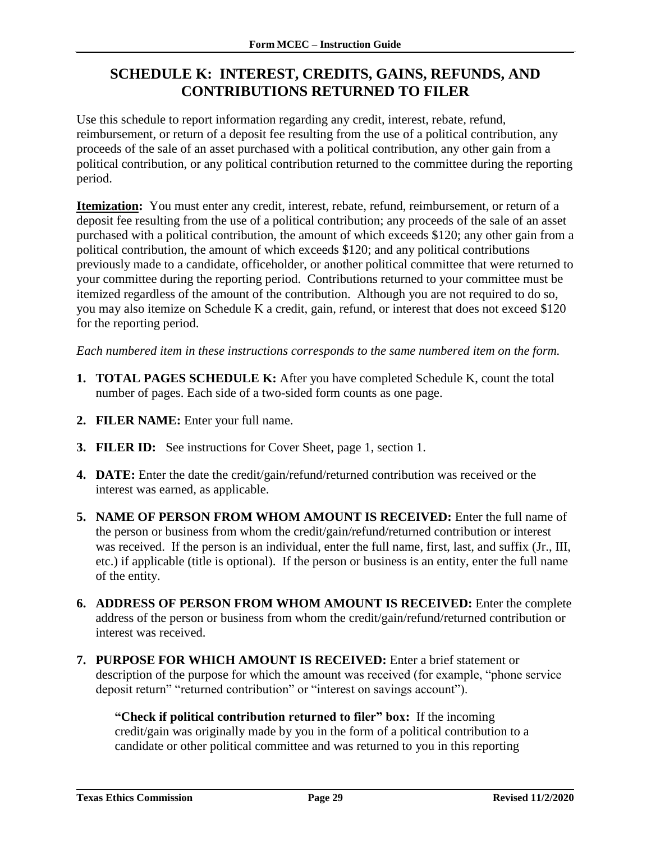# <span id="page-30-0"></span>**SCHEDULE K: INTEREST, CREDITS, GAINS, REFUNDS, AND CONTRIBUTIONS RETURNED TO FILER**

Use this schedule to report information regarding any credit, interest, rebate, refund, reimbursement, or return of a deposit fee resulting from the use of a political contribution, any proceeds of the sale of an asset purchased with a political contribution, any other gain from a political contribution, or any political contribution returned to the committee during the reporting period.

**Itemization:** You must enter any credit, interest, rebate, refund, reimbursement, or return of a deposit fee resulting from the use of a political contribution; any proceeds of the sale of an asset purchased with a political contribution, the amount of which exceeds \$120; any other gain from a political contribution, the amount of which exceeds \$120; and any political contributions previously made to a candidate, officeholder, or another political committee that were returned to your committee during the reporting period. Contributions returned to your committee must be itemized regardless of the amount of the contribution. Although you are not required to do so, you may also itemize on Schedule K a credit, gain, refund, or interest that does not exceed \$120 for the reporting period.

*Each numbered item in these instructions corresponds to the same numbered item on the form.*

- **1. TOTAL PAGES SCHEDULE K:** After you have completed Schedule K, count the total number of pages. Each side of a two-sided form counts as one page.
- **2. FILER NAME:** Enter your full name.
- **3. FILER ID:** See instructions for Cover Sheet, page 1, section 1.
- **4. DATE:** Enter the date the credit/gain/refund/returned contribution was received or the interest was earned, as applicable.
- **5. NAME OF PERSON FROM WHOM AMOUNT IS RECEIVED:** Enter the full name of the person or business from whom the credit/gain/refund/returned contribution or interest was received. If the person is an individual, enter the full name, first, last, and suffix (Jr., III, etc.) if applicable (title is optional). If the person or business is an entity, enter the full name of the entity.
- **6. ADDRESS OF PERSON FROM WHOM AMOUNT IS RECEIVED:** Enter the complete address of the person or business from whom the credit/gain/refund/returned contribution or interest was received.
- **7. PURPOSE FOR WHICH AMOUNT IS RECEIVED:** Enter a brief statement or description of the purpose for which the amount was received (for example, "phone service deposit return" "returned contribution" or "interest on savings account").

**"Check if political contribution returned to filer" box:** If the incoming credit/gain was originally made by you in the form of a political contribution to a candidate or other political committee and was returned to you in this reporting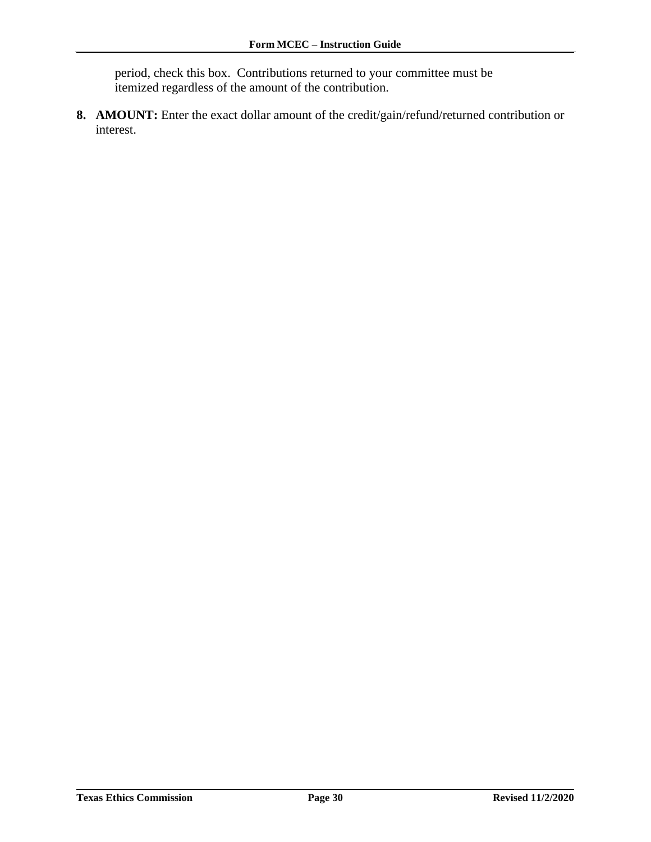period, check this box. Contributions returned to your committee must be itemized regardless of the amount of the contribution.

**8. AMOUNT:** Enter the exact dollar amount of the credit/gain/refund/returned contribution or interest.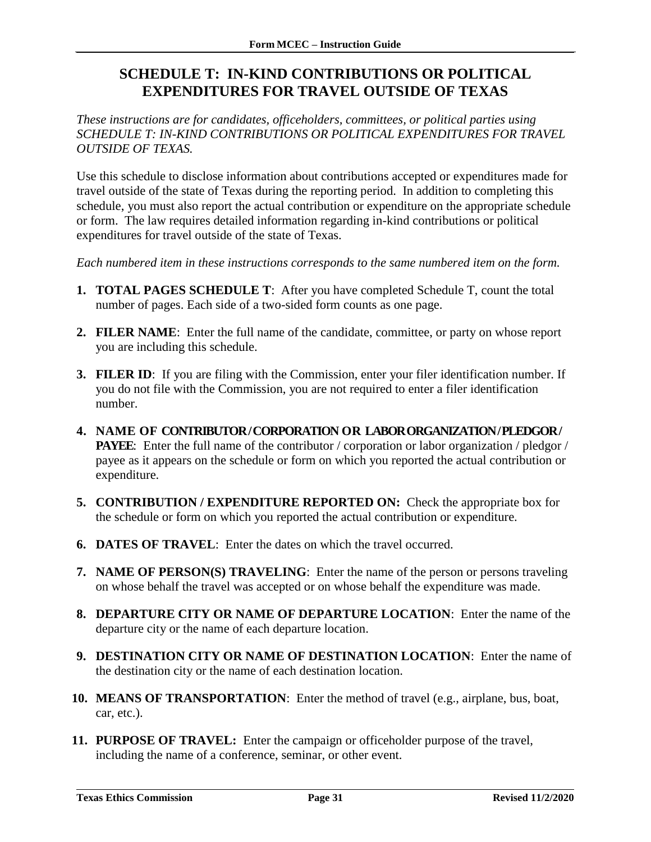# <span id="page-32-0"></span>**SCHEDULE T: IN-KIND CONTRIBUTIONS OR POLITICAL EXPENDITURES FOR TRAVEL OUTSIDE OF TEXAS**

*These instructions are for candidates, officeholders, committees, or political parties using SCHEDULE T: IN-KIND CONTRIBUTIONS OR POLITICAL EXPENDITURES FOR TRAVEL OUTSIDE OF TEXAS.*

Use this schedule to disclose information about contributions accepted or expenditures made for travel outside of the state of Texas during the reporting period. In addition to completing this schedule, you must also report the actual contribution or expenditure on the appropriate schedule or form. The law requires detailed information regarding in-kind contributions or political expenditures for travel outside of the state of Texas.

*Each numbered item in these instructions corresponds to the same numbered item on the form.*

- **1. TOTAL PAGES SCHEDULE T**: After you have completed Schedule T, count the total number of pages. Each side of a two-sided form counts as one page.
- **2. FILER NAME**: Enter the full name of the candidate, committee, or party on whose report you are including this schedule.
- **3. FILER ID**: If you are filing with the Commission, enter your filer identification number. If you do not file with the Commission, you are not required to enter a filer identification number.
- **4. NAME OF CONTRIBUTOR / CORPORATION OR LABOR ORGANIZATION / PLEDGOR / PAYEE:** Enter the full name of the contributor / corporation or labor organization / pledgor / payee as it appears on the schedule or form on which you reported the actual contribution or expenditure.
- **5. CONTRIBUTION / EXPENDITURE REPORTED ON:** Check the appropriate box for the schedule or form on which you reported the actual contribution or expenditure.
- **6. DATES OF TRAVEL**: Enter the dates on which the travel occurred.
- **7. NAME OF PERSON(S) TRAVELING**: Enter the name of the person or persons traveling on whose behalf the travel was accepted or on whose behalf the expenditure was made.
- **8. DEPARTURE CITY OR NAME OF DEPARTURE LOCATION**: Enter the name of the departure city or the name of each departure location.
- **9. DESTINATION CITY OR NAME OF DESTINATION LOCATION**: Enter the name of the destination city or the name of each destination location.
- **10. MEANS OF TRANSPORTATION**: Enter the method of travel (e.g., airplane, bus, boat, car, etc.).
- **11. PURPOSE OF TRAVEL:** Enter the campaign or officeholder purpose of the travel, including the name of a conference, seminar, or other event.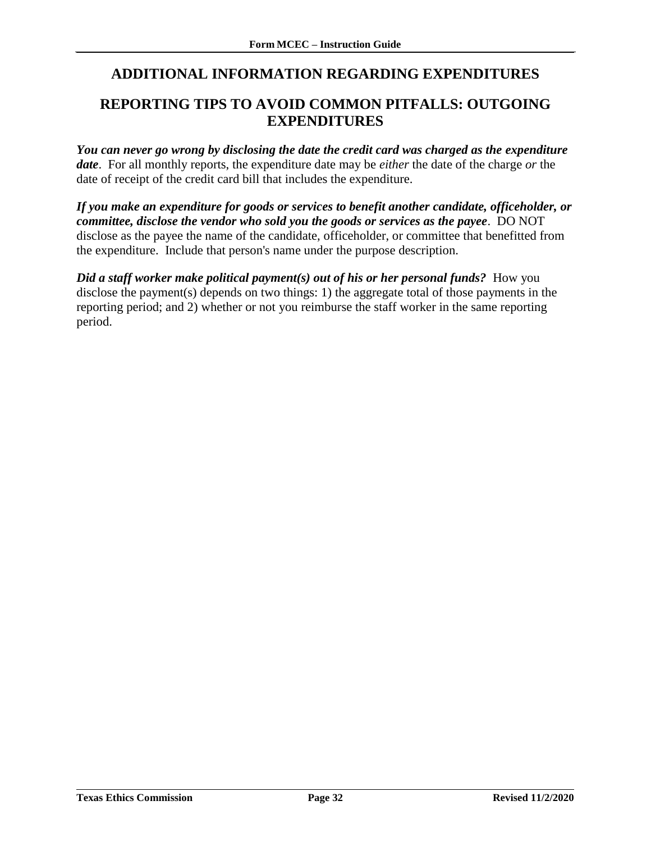# <span id="page-33-0"></span>**ADDITIONAL INFORMATION REGARDING EXPENDITURES**

### <span id="page-33-1"></span>**REPORTING TIPS TO AVOID COMMON PITFALLS: OUTGOING EXPENDITURES**

*You can never go wrong by disclosing the date the credit card was charged as the expenditure date*. For all monthly reports, the expenditure date may be *either* the date of the charge *or* the date of receipt of the credit card bill that includes the expenditure.

*If you make an expenditure for goods or services to benefit another candidate, officeholder, or committee, disclose the vendor who sold you the goods or services as the payee*. DO NOT disclose as the payee the name of the candidate, officeholder, or committee that benefitted from the expenditure. Include that person's name under the purpose description.

*Did a staff worker make political payment(s) out of his or her personal funds?* **How you** disclose the payment(s) depends on two things: 1) the aggregate total of those payments in the reporting period; and 2) whether or not you reimburse the staff worker in the same reporting period.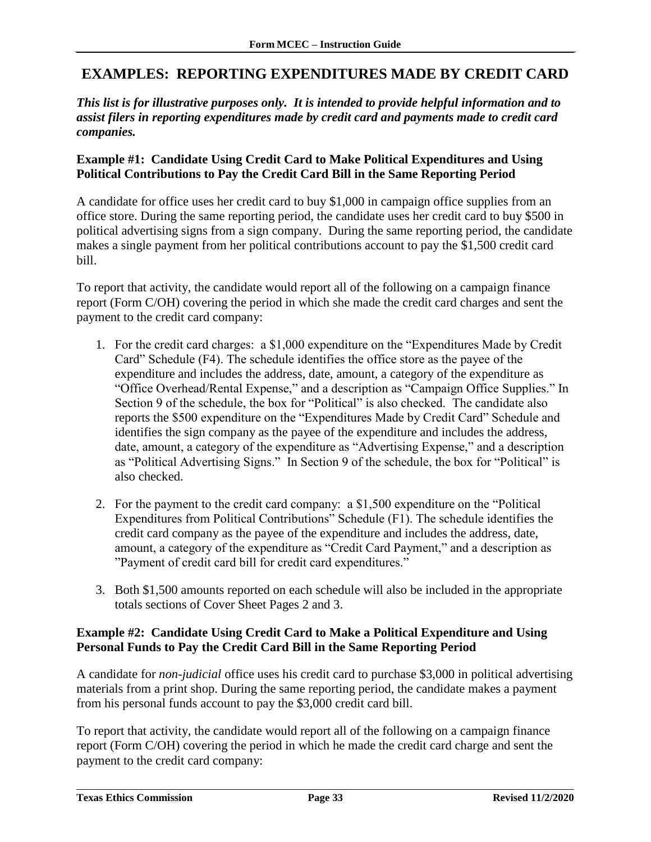### <span id="page-34-0"></span>**EXAMPLES: REPORTING EXPENDITURES MADE BY CREDIT CARD**

*This list is for illustrative purposes only. It is intended to provide helpful information and to assist filers in reporting expenditures made by credit card and payments made to credit card companies.*

#### **Example #1: Candidate Using Credit Card to Make Political Expenditures and Using Political Contributions to Pay the Credit Card Bill in the Same Reporting Period**

A candidate for office uses her credit card to buy \$1,000 in campaign office supplies from an office store. During the same reporting period, the candidate uses her credit card to buy \$500 in political advertising signs from a sign company. During the same reporting period, the candidate makes a single payment from her political contributions account to pay the \$1,500 credit card bill.

To report that activity, the candidate would report all of the following on a campaign finance report (Form C/OH) covering the period in which she made the credit card charges and sent the payment to the credit card company:

- 1. For the credit card charges: a \$1,000 expenditure on the "Expenditures Made by Credit Card" Schedule (F4). The schedule identifies the office store as the payee of the expenditure and includes the address, date, amount, a category of the expenditure as "Office Overhead/Rental Expense," and a description as "Campaign Office Supplies." In Section 9 of the schedule, the box for "Political" is also checked. The candidate also reports the \$500 expenditure on the "Expenditures Made by Credit Card" Schedule and identifies the sign company as the payee of the expenditure and includes the address, date, amount, a category of the expenditure as "Advertising Expense," and a description as "Political Advertising Signs." In Section 9 of the schedule, the box for "Political" is also checked.
- 2. For the payment to the credit card company: a \$1,500 expenditure on the "Political Expenditures from Political Contributions" Schedule (F1). The schedule identifies the credit card company as the payee of the expenditure and includes the address, date, amount, a category of the expenditure as "Credit Card Payment," and a description as "Payment of credit card bill for credit card expenditures."
- 3. Both \$1,500 amounts reported on each schedule will also be included in the appropriate totals sections of Cover Sheet Pages 2 and 3.

#### **Example #2: Candidate Using Credit Card to Make a Political Expenditure and Using Personal Funds to Pay the Credit Card Bill in the Same Reporting Period**

A candidate for *non-judicial* office uses his credit card to purchase \$3,000 in political advertising materials from a print shop. During the same reporting period, the candidate makes a payment from his personal funds account to pay the \$3,000 credit card bill.

To report that activity, the candidate would report all of the following on a campaign finance report (Form C/OH) covering the period in which he made the credit card charge and sent the payment to the credit card company: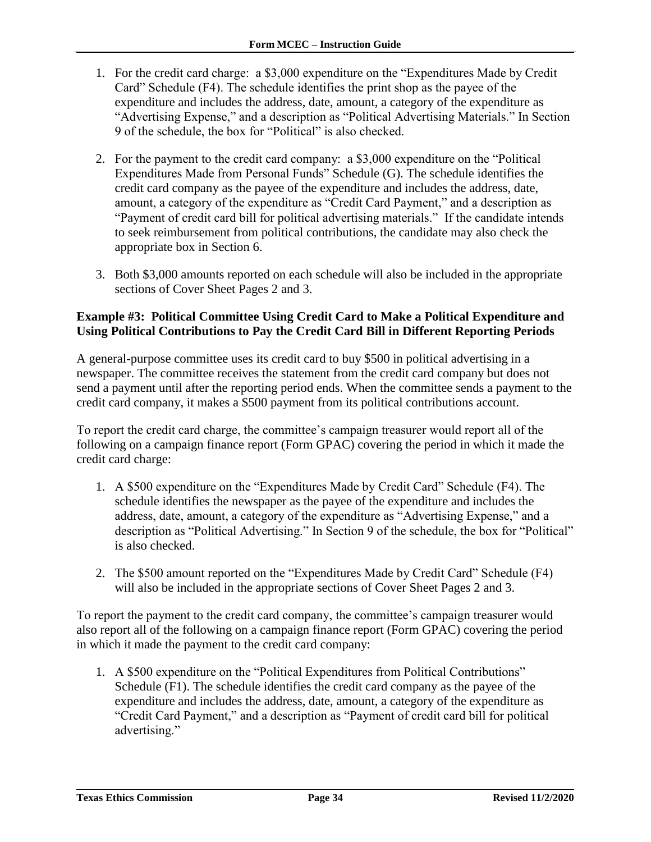- 1. For the credit card charge: a \$3,000 expenditure on the "Expenditures Made by Credit Card" Schedule (F4). The schedule identifies the print shop as the payee of the expenditure and includes the address, date, amount, a category of the expenditure as "Advertising Expense," and a description as "Political Advertising Materials." In Section 9 of the schedule, the box for "Political" is also checked.
- 2. For the payment to the credit card company: a \$3,000 expenditure on the "Political Expenditures Made from Personal Funds" Schedule (G). The schedule identifies the credit card company as the payee of the expenditure and includes the address, date, amount, a category of the expenditure as "Credit Card Payment," and a description as "Payment of credit card bill for political advertising materials." If the candidate intends to seek reimbursement from political contributions, the candidate may also check the appropriate box in Section 6.
- 3. Both \$3,000 amounts reported on each schedule will also be included in the appropriate sections of Cover Sheet Pages 2 and 3.

#### **Example #3: Political Committee Using Credit Card to Make a Political Expenditure and Using Political Contributions to Pay the Credit Card Bill in Different Reporting Periods**

A general-purpose committee uses its credit card to buy \$500 in political advertising in a newspaper. The committee receives the statement from the credit card company but does not send a payment until after the reporting period ends. When the committee sends a payment to the credit card company, it makes a \$500 payment from its political contributions account.

To report the credit card charge, the committee's campaign treasurer would report all of the following on a campaign finance report (Form GPAC) covering the period in which it made the credit card charge:

- 1. A \$500 expenditure on the "Expenditures Made by Credit Card" Schedule (F4). The schedule identifies the newspaper as the payee of the expenditure and includes the address, date, amount, a category of the expenditure as "Advertising Expense," and a description as "Political Advertising." In Section 9 of the schedule, the box for "Political" is also checked.
- 2. The \$500 amount reported on the "Expenditures Made by Credit Card" Schedule (F4) will also be included in the appropriate sections of Cover Sheet Pages 2 and 3.

To report the payment to the credit card company, the committee's campaign treasurer would also report all of the following on a campaign finance report (Form GPAC) covering the period in which it made the payment to the credit card company:

1. A \$500 expenditure on the "Political Expenditures from Political Contributions" Schedule (F1). The schedule identifies the credit card company as the payee of the expenditure and includes the address, date, amount, a category of the expenditure as "Credit Card Payment," and a description as "Payment of credit card bill for political advertising."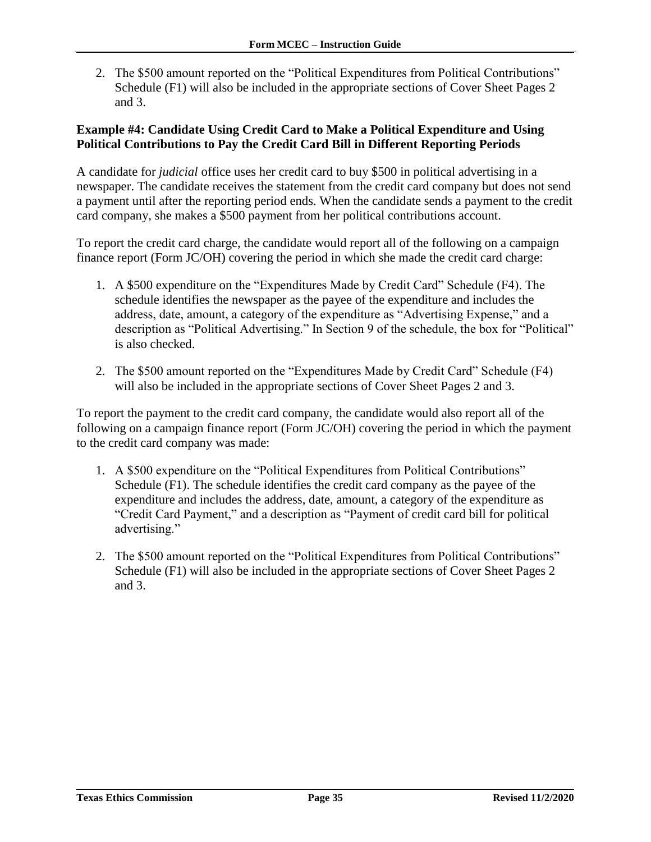2. The \$500 amount reported on the "Political Expenditures from Political Contributions" Schedule (F1) will also be included in the appropriate sections of Cover Sheet Pages 2 and 3.

#### **Example #4: Candidate Using Credit Card to Make a Political Expenditure and Using Political Contributions to Pay the Credit Card Bill in Different Reporting Periods**

A candidate for *judicial* office uses her credit card to buy \$500 in political advertising in a newspaper. The candidate receives the statement from the credit card company but does not send a payment until after the reporting period ends. When the candidate sends a payment to the credit card company, she makes a \$500 payment from her political contributions account.

To report the credit card charge, the candidate would report all of the following on a campaign finance report (Form JC/OH) covering the period in which she made the credit card charge:

- 1. A \$500 expenditure on the "Expenditures Made by Credit Card" Schedule (F4). The schedule identifies the newspaper as the payee of the expenditure and includes the address, date, amount, a category of the expenditure as "Advertising Expense," and a description as "Political Advertising." In Section 9 of the schedule, the box for "Political" is also checked.
- 2. The \$500 amount reported on the "Expenditures Made by Credit Card" Schedule (F4) will also be included in the appropriate sections of Cover Sheet Pages 2 and 3.

To report the payment to the credit card company, the candidate would also report all of the following on a campaign finance report (Form JC/OH) covering the period in which the payment to the credit card company was made:

- 1. A \$500 expenditure on the "Political Expenditures from Political Contributions" Schedule (F1). The schedule identifies the credit card company as the payee of the expenditure and includes the address, date, amount, a category of the expenditure as "Credit Card Payment," and a description as "Payment of credit card bill for political advertising."
- 2. The \$500 amount reported on the "Political Expenditures from Political Contributions" Schedule (F1) will also be included in the appropriate sections of Cover Sheet Pages 2 and 3.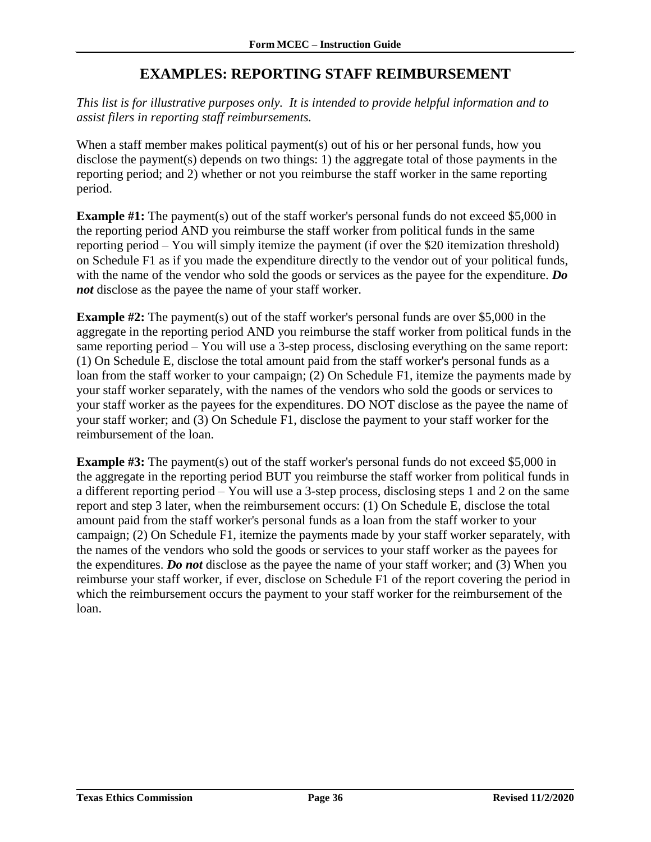### **EXAMPLES: REPORTING STAFF REIMBURSEMENT**

<span id="page-37-0"></span>*This list is for illustrative purposes only. It is intended to provide helpful information and to assist filers in reporting staff reimbursements.*

When a staff member makes political payment(s) out of his or her personal funds, how you disclose the payment(s) depends on two things: 1) the aggregate total of those payments in the reporting period; and 2) whether or not you reimburse the staff worker in the same reporting period.

**Example #1:** The payment(s) out of the staff worker's personal funds do not exceed \$5,000 in the reporting period AND you reimburse the staff worker from political funds in the same reporting period – You will simply itemize the payment (if over the \$20 itemization threshold) on Schedule F1 as if you made the expenditure directly to the vendor out of your political funds, with the name of the vendor who sold the goods or services as the payee for the expenditure. *Do not* disclose as the payee the name of your staff worker.

**Example #2:** The payment(s) out of the staff worker's personal funds are over \$5,000 in the aggregate in the reporting period AND you reimburse the staff worker from political funds in the same reporting period – You will use a 3-step process, disclosing everything on the same report: (1) On Schedule E, disclose the total amount paid from the staff worker's personal funds as a loan from the staff worker to your campaign; (2) On Schedule F1, itemize the payments made by your staff worker separately, with the names of the vendors who sold the goods or services to your staff worker as the payees for the expenditures. DO NOT disclose as the payee the name of your staff worker; and (3) On Schedule F1, disclose the payment to your staff worker for the reimbursement of the loan.

**Example #3:** The payment(s) out of the staff worker's personal funds do not exceed \$5,000 in the aggregate in the reporting period BUT you reimburse the staff worker from political funds in a different reporting period – You will use a 3-step process, disclosing steps 1 and 2 on the same report and step 3 later, when the reimbursement occurs: (1) On Schedule E, disclose the total amount paid from the staff worker's personal funds as a loan from the staff worker to your campaign; (2) On Schedule F1, itemize the payments made by your staff worker separately, with the names of the vendors who sold the goods or services to your staff worker as the payees for the expenditures. *Do not* disclose as the payee the name of your staff worker; and (3) When you reimburse your staff worker, if ever, disclose on Schedule F1 of the report covering the period in which the reimbursement occurs the payment to your staff worker for the reimbursement of the loan.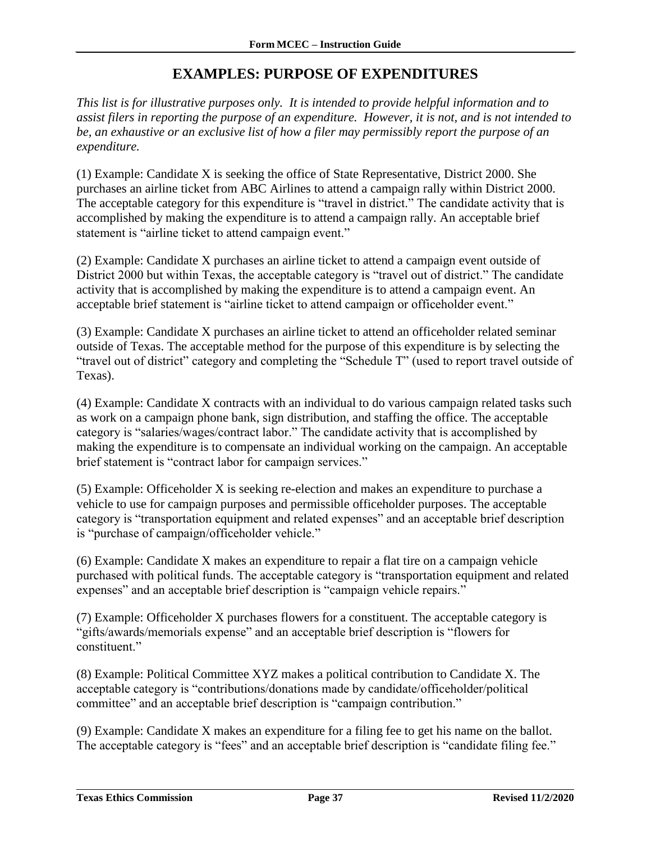### **EXAMPLES: PURPOSE OF EXPENDITURES**

<span id="page-38-0"></span>*This list is for illustrative purposes only. It is intended to provide helpful information and to assist filers in reporting the purpose of an expenditure. However, it is not, and is not intended to be, an exhaustive or an exclusive list of how a filer may permissibly report the purpose of an expenditure.*

(1) Example: Candidate X is seeking the office of State Representative, District 2000. She purchases an airline ticket from ABC Airlines to attend a campaign rally within District 2000. The acceptable category for this expenditure is "travel in district." The candidate activity that is accomplished by making the expenditure is to attend a campaign rally. An acceptable brief statement is "airline ticket to attend campaign event."

(2) Example: Candidate X purchases an airline ticket to attend a campaign event outside of District 2000 but within Texas, the acceptable category is "travel out of district." The candidate activity that is accomplished by making the expenditure is to attend a campaign event. An acceptable brief statement is "airline ticket to attend campaign or officeholder event."

(3) Example: Candidate X purchases an airline ticket to attend an officeholder related seminar outside of Texas. The acceptable method for the purpose of this expenditure is by selecting the "travel out of district" category and completing the "Schedule T" (used to report travel outside of Texas).

(4) Example: Candidate X contracts with an individual to do various campaign related tasks such as work on a campaign phone bank, sign distribution, and staffing the office. The acceptable category is "salaries/wages/contract labor." The candidate activity that is accomplished by making the expenditure is to compensate an individual working on the campaign. An acceptable brief statement is "contract labor for campaign services."

(5) Example: Officeholder X is seeking re-election and makes an expenditure to purchase a vehicle to use for campaign purposes and permissible officeholder purposes. The acceptable category is "transportation equipment and related expenses" and an acceptable brief description is "purchase of campaign/officeholder vehicle."

(6) Example: Candidate X makes an expenditure to repair a flat tire on a campaign vehicle purchased with political funds. The acceptable category is "transportation equipment and related expenses" and an acceptable brief description is "campaign vehicle repairs."

(7) Example: Officeholder X purchases flowers for a constituent. The acceptable category is "gifts/awards/memorials expense" and an acceptable brief description is "flowers for constituent."

(8) Example: Political Committee XYZ makes a political contribution to Candidate X. The acceptable category is "contributions/donations made by candidate/officeholder/political committee" and an acceptable brief description is "campaign contribution."

(9) Example: Candidate X makes an expenditure for a filing fee to get his name on the ballot. The acceptable category is "fees" and an acceptable brief description is "candidate filing fee."